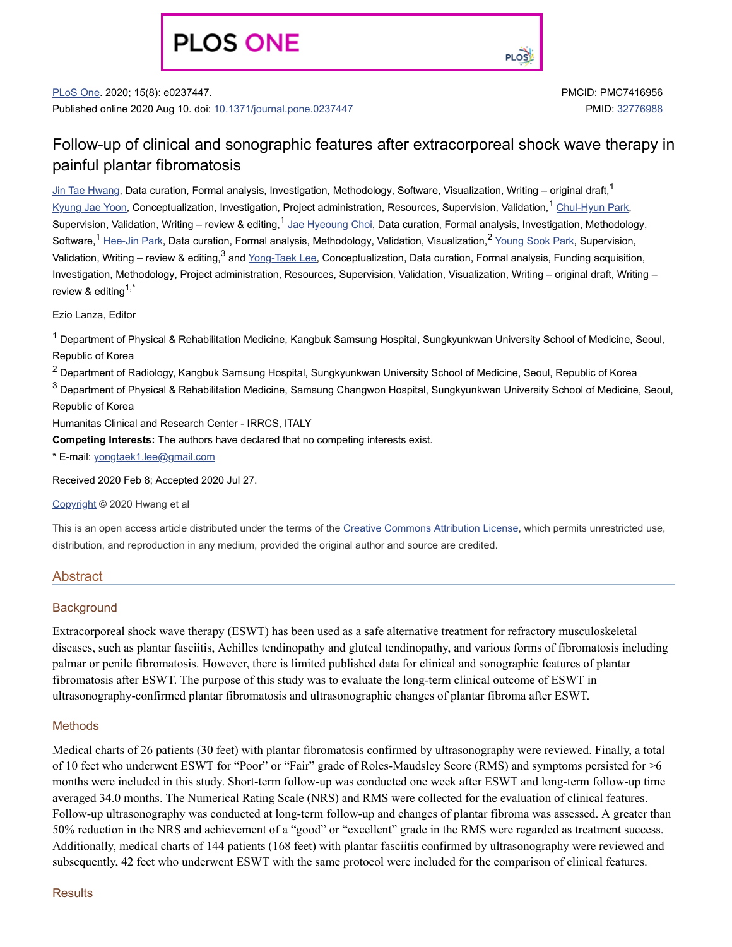# **PLOS ONE**

**PLOS** 

PLoS One. 2020; 15(8): e0237447. Published online 2020 Aug 10. doi: [10.1371/journal.pone.0237447](https://dx.doi.org/10.1371%2Fjournal.pone.0237447) PMCID: PMC7416956 PMID: [32776988](https://www.ncbi.nlm.nih.gov/pubmed/32776988)

# Follow-up of clinical and sonographic features after extracorporeal shock wave therapy in painful plantar fibromatosis

<u>Jin Tae [Hwang](https://www.ncbi.nlm.nih.gov/pubmed/?term=Hwang%20JT%5BAuthor%5D&cauthor=true&cauthor_uid=32776988)</u>, Data curation, Formal analysis, Investigation, Methodology, Software, Visualization, Writing – original draft,<sup>1</sup> <u>[Kyung](https://www.ncbi.nlm.nih.gov/pubmed/?term=Yoon%20KJ%5BAuthor%5D&cauthor=true&cauthor_uid=32776988) Jae Yoon</u>, Conceptualization, Investigation, Project administration, Resources, Supervision, Validation,<sup>1</sup> <u>[Chul-Hyun](https://www.ncbi.nlm.nih.gov/pubmed/?term=Park%20CH%5BAuthor%5D&cauthor=true&cauthor_uid=32776988) Park,</u> Supervision, Validation, Writing – review & editing,<sup>1</sup> Jae [Hyeoung](https://www.ncbi.nlm.nih.gov/pubmed/?term=Choi%20JH%5BAuthor%5D&cauthor=true&cauthor_uid=32776988) Choi, Data curation, Formal analysis, Investigation, Methodology, Software,<sup>1</sup> [Hee-Jin](https://www.ncbi.nlm.nih.gov/pubmed/?term=Park%20HJ%5BAuthor%5D&cauthor=true&cauthor_uid=32776988) Park, Data curation, Formal analysis, Methodology, Validation, Visualization,<sup>2</sup> <u>[Young](https://www.ncbi.nlm.nih.gov/pubmed/?term=Park%20YS%5BAuthor%5D&cauthor=true&cauthor_uid=32776988) Sook Park</u>, Supervision, Validation, Writing – review & editing,<sup>3</sup> and <u>[Yong-Taek](https://www.ncbi.nlm.nih.gov/pubmed/?term=Lee%20YT%5BAuthor%5D&cauthor=true&cauthor_uid=32776988) Lee,</u> Conceptualization, Data curation, Formal analysis, Funding acquisition, Investigation, Methodology, Project administration, Resources, Supervision, Validation, Visualization, Writing – original draft, Writing – review & editing<sup>1,\*</sup>

Ezio Lanza, Editor

 $^{\text{1}}$  Department of Physical & Rehabilitation Medicine, Kangbuk Samsung Hospital, Sungkyunkwan University School of Medicine, Seoul, Republic of Korea

 $^2$  Department of Radiology, Kangbuk Samsung Hospital, Sungkyunkwan University School of Medicine, Seoul, Republic of Korea

 $^3$  Department of Physical & Rehabilitation Medicine, Samsung Changwon Hospital, Sungkyunkwan University School of Medicine, Seoul, Republic of Korea

Humanitas Clinical and Research Center - IRRCS, ITALY

**Competing Interests:** The authors have declared that no competing interests exist.

\* E-mail: [yongtaek1.lee@gmail.com](mailto:dev@null)

Received 2020 Feb 8; Accepted 2020 Jul 27.

[Copyright](https://www.ncbi.nlm.nih.gov/pmc/about/copyright/) © 2020 Hwang et al

This is an open access article distributed under the terms of the Creative [Commons](http://creativecommons.org/licenses/by/4.0/) Attribution License, which permits unrestricted use, distribution, and reproduction in any medium, provided the original author and source are credited.

#### Abstract

#### **Background**

Extracorporeal shock wave therapy (ESWT) has been used as a safe alternative treatment for refractory musculoskeletal diseases, such as plantar fasciitis, Achilles tendinopathy and gluteal tendinopathy, and various forms of fibromatosis including palmar or penile fibromatosis. However, there is limited published data for clinical and sonographic features of plantar fibromatosis after ESWT. The purpose of this study was to evaluate the long-term clinical outcome of ESWT in ultrasonography-confirmed plantar fibromatosis and ultrasonographic changes of plantar fibroma after ESWT.

#### **Methods**

Medical charts of 26 patients (30 feet) with plantar fibromatosis confirmed by ultrasonography were reviewed. Finally, a total of 10 feet who underwent ESWT for "Poor" or "Fair" grade of Roles-Maudsley Score (RMS) and symptoms persisted for >6 months were included in this study. Short-term follow-up was conducted one week after ESWT and long-term follow-up time averaged 34.0 months. The Numerical Rating Scale (NRS) and RMS were collected for the evaluation of clinical features. Follow-up ultrasonography was conducted at long-term follow-up and changes of plantar fibroma was assessed. A greater than 50% reduction in the NRS and achievement of a "good" or "excellent" grade in the RMS were regarded as treatment success. Additionally, medical charts of 144 patients (168 feet) with plantar fasciitis confirmed by ultrasonography were reviewed and subsequently, 42 feet who underwent ESWT with the same protocol were included for the comparison of clinical features.

#### **Results**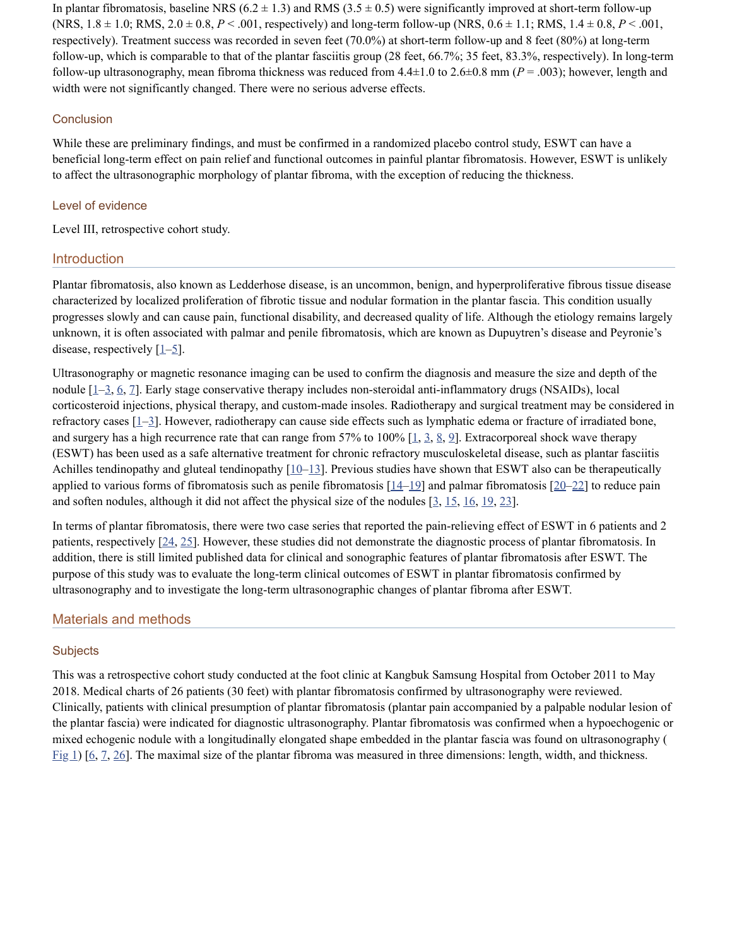In plantar fibromatosis, baseline NRS  $(6.2 \pm 1.3)$  and RMS  $(3.5 \pm 0.5)$  were significantly improved at short-term follow-up (NRS,  $1.8 \pm 1.0$ ; RMS,  $2.0 \pm 0.8$ ,  $P < .001$ , respectively) and long-term follow-up (NRS,  $0.6 \pm 1.1$ ; RMS,  $1.4 \pm 0.8$ ,  $P < .001$ , respectively). Treatment success was recorded in seven feet (70.0%) at short-term follow-up and 8 feet (80%) at long-term follow-up, which is comparable to that of the plantar fasciitis group (28 feet, 66.7%; 35 feet, 83.3%, respectively). In long-term follow-up ultrasonography, mean fibroma thickness was reduced from  $4.4\pm1.0$  to  $2.6\pm0.8$  mm ( $P = .003$ ); however, length and width were not significantly changed. There were no serious adverse effects.

#### **Conclusion**

While these are preliminary findings, and must be confirmed in a randomized placebo control study, ESWT can have a beneficial long-term effect on pain relief and functional outcomes in painful plantar fibromatosis. However, ESWT is unlikely to affect the ultrasonographic morphology of plantar fibroma, with the exception of reducing the thickness.

#### Level of evidence

Level III, retrospective cohort study.

#### **Introduction**

Plantar fibromatosis, also known as Ledderhose disease, is an uncommon, benign, and hyperproliferative fibrous tissue disease characterized by localized proliferation of fibrotic tissue and nodular formation in the plantar fascia. This condition usually progresses slowly and can cause pain, functional disability, and decreased quality of life. Although the etiology remains largely unknown, it is often associated with palmar and penile fibromatosis, which are known as Dupuytren's disease and Peyronie's disease, respectively  $[1-\underline{5}]$  $[1-\underline{5}]$  $[1-\underline{5}]$ .

Ultrasonography or magnetic resonance imaging can be used to confirm the diagnosis and measure the size and depth of the nodule [[1–](#page-10-0)[3,](#page-10-2) [6,](#page-10-3) [7](#page-10-4)]. Early stage conservative therapy includes non-steroidal anti-inflammatory drugs (NSAIDs), local corticosteroid injections, physical therapy, and custom-made insoles. Radiotherapy and surgical treatment may be considered in refractory cases [\[1](#page-10-0)[–3](#page-10-2)]. However, radiotherapy can cause side effects such as lymphatic edema or fracture of irradiated bone, and surgery has a high recurrence rate that can range from 57% to 100%  $[1, 3, 8, 9]$  $[1, 3, 8, 9]$  $[1, 3, 8, 9]$  $[1, 3, 8, 9]$  $[1, 3, 8, 9]$  $[1, 3, 8, 9]$  $[1, 3, 8, 9]$  $[1, 3, 8, 9]$ . Extracorporeal shock wave therapy (ESWT) has been used as a safe alternative treatment for chronic refractory musculoskeletal disease, such as plantar fasciitis Achilles tendinopathy and gluteal tendinopathy  $[10-13]$  $[10-13]$  $[10-13]$ . Previous studies have shown that ESWT also can be therapeutically applied to various forms of fibromatosis such as penile fibromatosis  $[14-19]$  $[14-19]$  $[14-19]$  and palmar fibromatosis  $[20-22]$  $[20-22]$  to reduce pain and soften nodules, although it did not affect the physical size of the nodules [\[3](#page-10-2), [15](#page-11-3), [16,](#page-11-4) [19](#page-11-0), [23](#page-11-5)].

In terms of plantar fibromatosis, there were two case series that reported the pain-relieving effect of ESWT in 6 patients and 2 patients, respectively  $[24, 25]$  $[24, 25]$  $[24, 25]$  $[24, 25]$  $[24, 25]$ . However, these studies did not demonstrate the diagnostic process of plantar fibromatosis. In addition, there is still limited published data for clinical and sonographic features of plantar fibromatosis after ESWT. The purpose of this study was to evaluate the long-term clinical outcomes of ESWT in plantar fibromatosis confirmed by ultrasonography and to investigate the long-term ultrasonographic changes of plantar fibroma after ESWT.

#### Materials and methods

#### **Subjects**

This was a retrospective cohort study conducted at the foot clinic at Kangbuk Samsung Hospital from October 2011 to May 2018. Medical charts of 26 patients (30 feet) with plantar fibromatosis confirmed by ultrasonography were reviewed. Clinically, patients with clinical presumption of plantar fibromatosis (plantar pain accompanied by a palpable nodular lesion of the plantar fascia) were indicated for diagnostic ultrasonography. Plantar fibromatosis was confirmed when a hypoechogenic or mixed echogenic nodule with a longitudinally elongated shape embedded in the plantar fascia was found on ultrasonography (  $Fig 1)$  $Fig 1)$  [[6,](#page-10-3) [7,](#page-10-4) [26\]](#page-11-8). The maximal size of the plantar fibroma was measured in three dimensions: length, width, and thickness.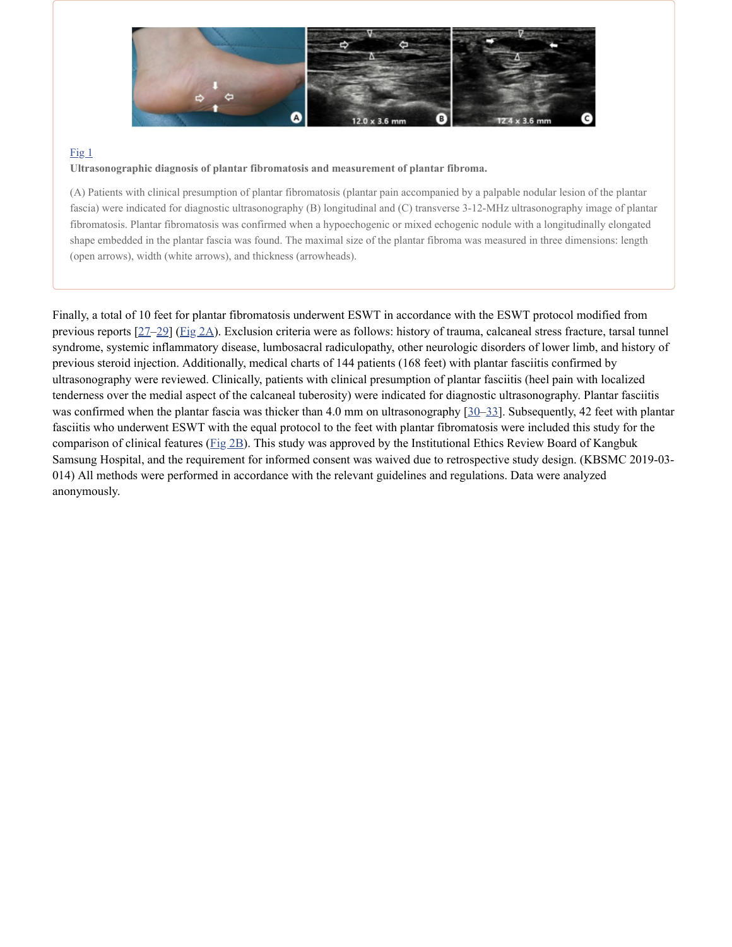

#### $Fig 1$  $Fig 1$

#### **Ultrasonographic diagnosis of plantar fibromatosis and measurement of plantar fibroma.**

(A) Patients with clinical presumption of plantar fibromatosis (plantar pain accompanied by a palpable nodular lesion of the plantar fascia) were indicated for diagnostic ultrasonography (B) longitudinal and (C) transverse 3-12-MHz ultrasonography image of plantar fibromatosis. Plantar fibromatosis was confirmed when a hypoechogenic or mixed echogenic nodule with a longitudinally elongated shape embedded in the plantar fascia was found. The maximal size of the plantar fibroma was measured in three dimensions: length (open arrows), width (white arrows), and thickness (arrowheads).

Finally, a total of 10 feet for plantar fibromatosis underwent ESWT in accordance with the ESWT protocol modified from previous reports [[27–](#page-11-9)[29\]](#page-11-10) [\(Fig](https://www.ncbi.nlm.nih.gov/pmc/articles/PMC7416956/figure/pone.0237447.g002/) 2A). Exclusion criteria were as follows: history of trauma, calcaneal stress fracture, tarsal tunnel syndrome, systemic inflammatory disease, lumbosacral radiculopathy, other neurologic disorders of lower limb, and history of previous steroid injection. Additionally, medical charts of 144 patients (168 feet) with plantar fasciitis confirmed by ultrasonography were reviewed. Clinically, patients with clinical presumption of plantar fasciitis (heel pain with localized tenderness over the medial aspect of the calcaneal tuberosity) were indicated for diagnostic ultrasonography. Plantar fasciitis was confirmed when the plantar fascia was thicker than 4.0 mm on ultrasonography  $[30-33]$  $[30-33]$ . Subsequently, 42 feet with plantar fasciitis who underwent ESWT with the equal protocol to the feet with plantar fibromatosis were included this study for the comparison of clinical features ([Fig](https://www.ncbi.nlm.nih.gov/pmc/articles/PMC7416956/figure/pone.0237447.g002/) 2B). This study was approved by the Institutional Ethics Review Board of Kangbuk Samsung Hospital, and the requirement for informed consent was waived due to retrospective study design. (KBSMC 2019-03- 014) All methods were performed in accordance with the relevant guidelines and regulations. Data were analyzed anonymously.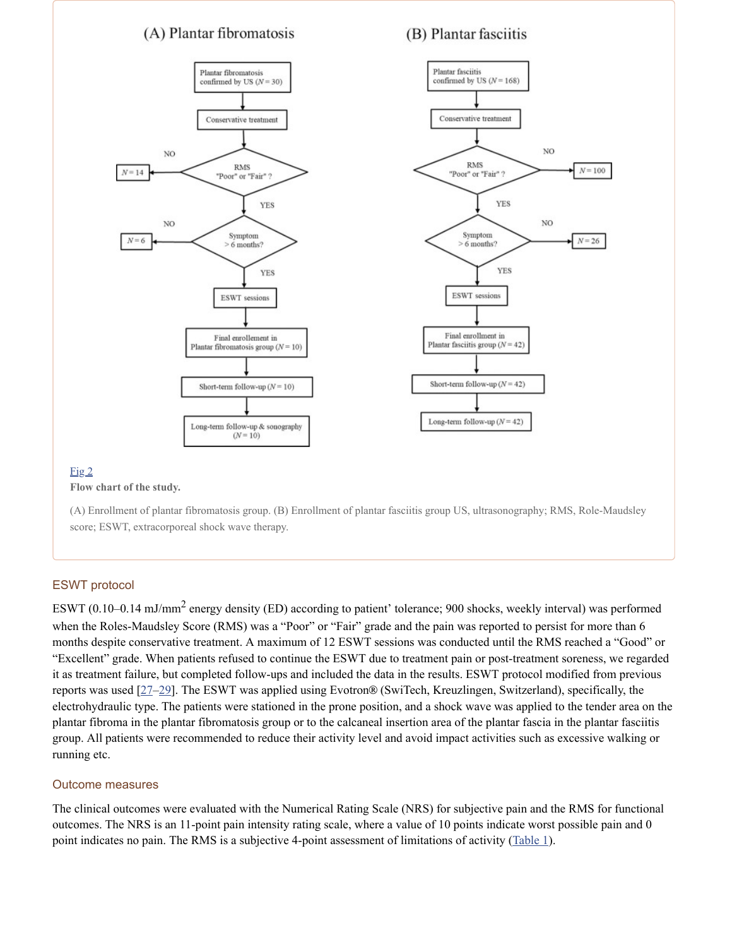## (A) Plantar fibromatosis

## (B) Plantar fasciitis



**Flow chart of the study.**

(A) Enrollment of plantar fibromatosis group. (B) Enrollment of plantar fasciitis group US, ultrasonography; RMS, Role-Maudsley score; ESWT, extracorporeal shock wave therapy.

#### ESWT protocol

ESWT (0.10–0.14 mJ/mm<sup>2</sup> energy density (ED) according to patient' tolerance; 900 shocks, weekly interval) was performed when the Roles-Maudsley Score (RMS) was a "Poor" or "Fair" grade and the pain was reported to persist for more than 6 months despite conservative treatment. A maximum of 12 ESWT sessions was conducted until the RMS reached a "Good" or "Excellent" grade. When patients refused to continue the ESWT due to treatment pain or post-treatment soreness, we regarded it as treatment failure, but completed follow-ups and included the data in the results. ESWT protocol modified from previous reports was used  $[27-29]$  $[27-29]$  $[27-29]$ . The ESWT was applied using Evotron<sup>®</sup> (SwiTech, Kreuzlingen, Switzerland), specifically, the electrohydraulic type. The patients were stationed in the prone position, and a shock wave was applied to the tender area on the plantar fibroma in the plantar fibromatosis group or to the calcaneal insertion area of the plantar fascia in the plantar fasciitis group. All patients were recommended to reduce their activity level and avoid impact activities such as excessive walking or running etc.

#### Outcome measures

The clinical outcomes were evaluated with the Numerical Rating Scale (NRS) for subjective pain and the RMS for functional outcomes. The NRS is an 11-point pain intensity rating scale, where a value of 10 points indicate worst possible pain and 0 point indicates no pain. The RMS is a subjective 4-point assessment of limitations of activity ([Table](https://www.ncbi.nlm.nih.gov/pmc/articles/PMC7416956/table/pone.0237447.t001/) 1).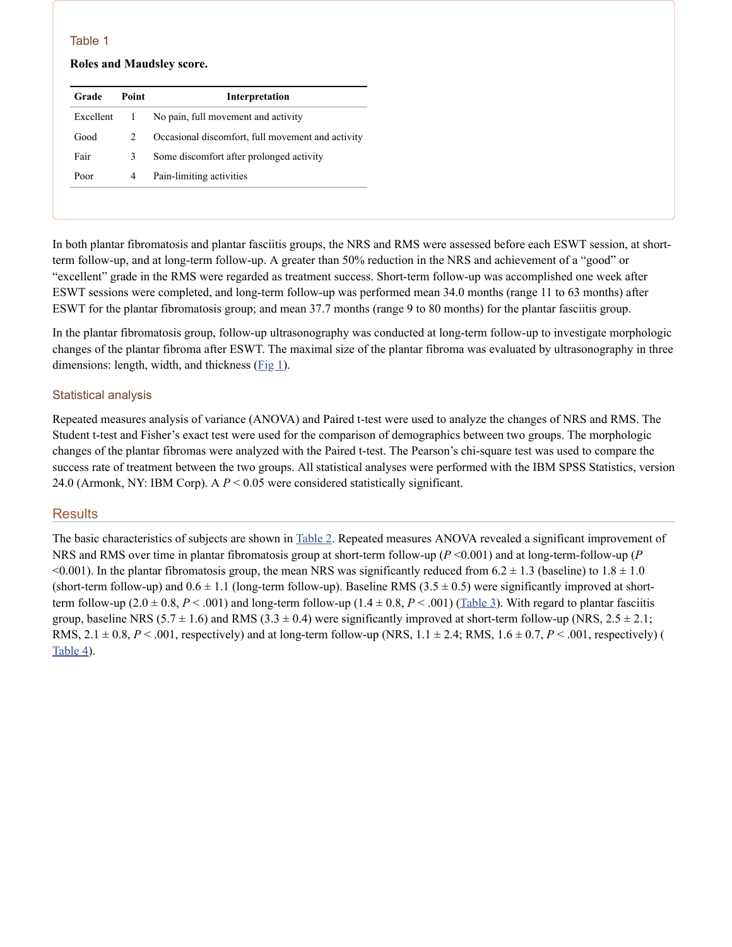#### **Roles and Maudsley score.**

| Grade     | Point         | Interpretation                                    |
|-----------|---------------|---------------------------------------------------|
| Excellent |               | No pain, full movement and activity               |
| Good      | $\mathcal{L}$ | Occasional discomfort, full movement and activity |
| Fair      | 3             | Some discomfort after prolonged activity          |
| Poor      | 4             | Pain-limiting activities                          |

In both plantar fibromatosis and plantar fasciitis groups, the NRS and RMS were assessed before each ESWT session, at shortterm follow-up, and at long-term follow-up. A greater than 50% reduction in the NRS and achievement of a "good" or "excellent" grade in the RMS were regarded as treatment success. Short-term follow-up was accomplished one week after ESWT sessions were completed, and long-term follow-up was performed mean 34.0 months (range 11 to 63 months) after ESWT for the plantar fibromatosis group; and mean 37.7 months (range 9 to 80 months) for the plantar fasciitis group.

In the plantar fibromatosis group, follow-up ultrasonography was conducted at long-term follow-up to investigate morphologic changes of the plantar fibroma after ESWT. The maximal size of the plantar fibroma was evaluated by ultrasonography in three dimensions: length, width, and thickness  $(Fig_1)$  $(Fig_1)$ .

#### Statistical analysis

Repeated measures analysis of variance (ANOVA) and Paired t-test were used to analyze the changes of NRS and RMS. The Student t-test and Fisher's exact test were used for the comparison of demographics between two groups. The morphologic changes of the plantar fibromas were analyzed with the Paired t-test. The Pearson's chi-square test was used to compare the success rate of treatment between the two groups. All statistical analyses were performed with the IBM SPSS Statistics, version 24.0 (Armonk, NY: IBM Corp). A *P* < 0.05 were considered statistically significant.

#### **Results**

The basic characteristics of subjects are shown in [Table](https://www.ncbi.nlm.nih.gov/pmc/articles/PMC7416956/table/pone.0237447.t002/) 2. Repeated measures ANOVA revealed a significant improvement of NRS and RMS over time in plantar fibromatosis group at short-term follow-up ( $P \le 0.001$ ) and at long-term-follow-up ( $P$  $\leq 0.001$ ). In the plantar fibromatosis group, the mean NRS was significantly reduced from 6.2  $\pm$  1.3 (baseline) to 1.8  $\pm$  1.0 (short-term follow-up) and  $0.6 \pm 1.1$  (long-term follow-up). Baseline RMS (3.5  $\pm$  0.5) were significantly improved at shortterm follow-up  $(2.0 \pm 0.8, P < .001)$  and long-term follow-up  $(1.4 \pm 0.8, P < .001)$  [\(Table](https://www.ncbi.nlm.nih.gov/pmc/articles/PMC7416956/table/pone.0237447.t003/) 3). With regard to plantar fasciitis group, baseline NRS  $(5.7 \pm 1.6)$  and RMS  $(3.3 \pm 0.4)$  were significantly improved at short-term follow-up (NRS,  $2.5 \pm 2.1$ ; RMS,  $2.1 \pm 0.8$ ,  $P < .001$ , respectively) and at long-term follow-up (NRS,  $1.1 \pm 2.4$ ; RMS,  $1.6 \pm 0.7$ ,  $P < .001$ , respectively) ( [Table](https://www.ncbi.nlm.nih.gov/pmc/articles/PMC7416956/table/pone.0237447.t004/) 4).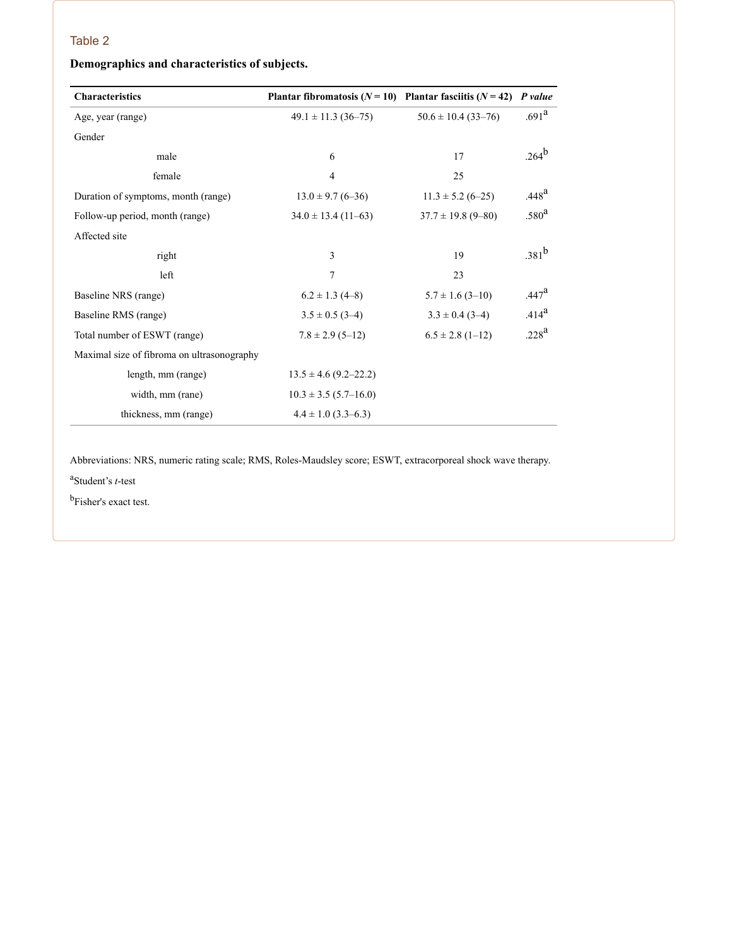## **Demographics and characteristics of subjects.**

| <b>Characteristics</b>                     | Plantar fibromatosis $(N = 10)$ Plantar fasciitis $(N = 42)$ |                         | P value           |
|--------------------------------------------|--------------------------------------------------------------|-------------------------|-------------------|
| Age, year (range)                          | $49.1 \pm 11.3$ (36-75)                                      | $50.6 \pm 10.4$ (33-76) | .691 <sup>a</sup> |
| Gender                                     |                                                              |                         |                   |
| male                                       | 6                                                            | 17                      | $.264^{\rm b}$    |
| female                                     | 4                                                            | 25                      |                   |
| Duration of symptoms, month (range)        | $13.0 \pm 9.7$ (6-36)                                        | $11.3 \pm 5.2$ (6-25)   | .448 <sup>a</sup> |
| Follow-up period, month (range)            | $34.0 \pm 13.4$ (11–63)                                      | $37.7 \pm 19.8$ (9-80)  | .580 <sup>a</sup> |
| Affected site                              |                                                              |                         |                   |
| right                                      | 3                                                            | 19                      | $.381^{b}$        |
| left                                       | $\tau$                                                       | 23                      |                   |
| Baseline NRS (range)                       | $6.2 \pm 1.3$ (4-8)                                          | $5.7 \pm 1.6$ (3-10)    | .447 <sup>a</sup> |
| Baseline RMS (range)                       | $3.5 \pm 0.5$ (3-4)                                          | $3.3 \pm 0.4$ (3-4)     | $.414^{a}$        |
| Total number of ESWT (range)               | $7.8 \pm 2.9$ (5-12)                                         | $6.5 \pm 2.8$ (1-12)    | .228 <sup>a</sup> |
| Maximal size of fibroma on ultrasonography |                                                              |                         |                   |
| length, mm (range)                         | $13.5 \pm 4.6$ (9.2–22.2)                                    |                         |                   |
| width, mm (rane)                           | $10.3 \pm 3.5$ (5.7–16.0)                                    |                         |                   |
| thickness, mm (range)                      | $4.4 \pm 1.0$ (3.3–6.3)                                      |                         |                   |

Abbreviations: NRS, numeric rating scale; RMS, Roles-Maudsley score; ESWT, extracorporeal shock wave therapy.

Student's *t*-test a

b<sub>Fisher's exact test.</sub>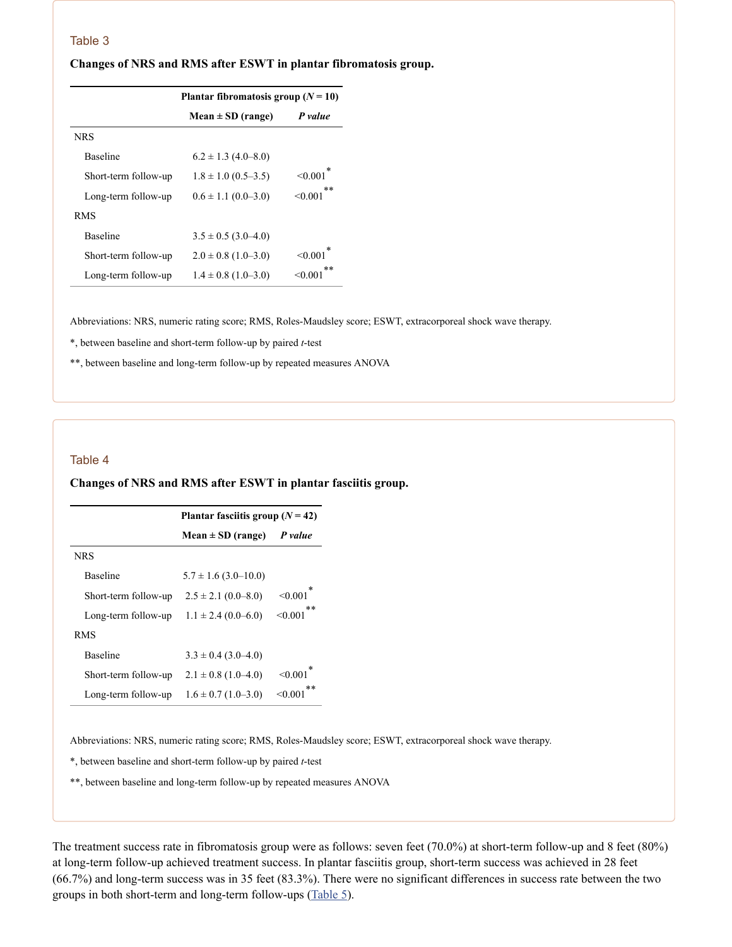| Changes of NRS and RMS after ESWT in plantar fibromatosis group. |  |  |  |
|------------------------------------------------------------------|--|--|--|
|                                                                  |  |  |  |

|                      | Plantar fibromatosis group $(N = 10)$ |                 |  |
|----------------------|---------------------------------------|-----------------|--|
|                      | $Mean \pm SD$ (range)                 | P value         |  |
| <b>NRS</b>           |                                       |                 |  |
| <b>Baseline</b>      | $6.2 \pm 1.3$ (4.0–8.0)               |                 |  |
| Short-term follow-up | $1.8 \pm 1.0$ (0.5–3.5)               | < 0.001         |  |
| Long-term follow-up  | $0.6 \pm 1.1$ (0.0–3.0)               | $**$<br>< 0.001 |  |
| <b>RMS</b>           |                                       |                 |  |
| <b>Baseline</b>      | $3.5 \pm 0.5$ (3.0–4.0)               |                 |  |
| Short-term follow-up | $2.0 \pm 0.8$ (1.0–3.0)               | < 0.001         |  |
| Long-term follow-up  | $1.4 \pm 0.8$ (1.0–3.0)               | $**$<br>< 0.00  |  |

Abbreviations: NRS, numeric rating score; RMS, Roles-Maudsley score; ESWT, extracorporeal shock wave therapy.

\*, between baseline and short-term follow-up by paired *t*-test

\*\*, between baseline and long-term follow-up by repeated measures ANOVA

#### Table 4

#### **Changes of NRS and RMS after ESWT in plantar fasciitis group.**

|                      | Plantar fasciitis group $(N = 42)$ |                  |  |
|----------------------|------------------------------------|------------------|--|
|                      | $Mean \pm SD$ (range)              | P value          |  |
| <b>NRS</b>           |                                    |                  |  |
| <b>Baseline</b>      | $5.7 \pm 1.6$ (3.0–10.0)           |                  |  |
| Short-term follow-up | $2.5 \pm 2.1$ (0.0-8.0)            | < 0.001          |  |
| Long-term follow-up  | $1.1 \pm 2.4$ (0.0–6.0)            | $* *$<br>< 0.001 |  |
| <b>RMS</b>           |                                    |                  |  |
| <b>Baseline</b>      | $3.3 \pm 0.4$ (3.0–4.0)            |                  |  |
| Short-term follow-up | $2.1 \pm 0.8$ (1.0–4.0)            | < 0.001          |  |
| Long-term follow-up  | $1.6 \pm 0.7$ (1.0–3.0)            | $* *$<br>< 0.001 |  |

Abbreviations: NRS, numeric rating score; RMS, Roles-Maudsley score; ESWT, extracorporeal shock wave therapy.

\*, between baseline and short-term follow-up by paired *t*-test

\*\*, between baseline and long-term follow-up by repeated measures ANOVA

The treatment success rate in fibromatosis group were as follows: seven feet (70.0%) at short-term follow-up and 8 feet (80%) at long-term follow-up achieved treatment success. In plantar fasciitis group, short-term success was achieved in 28 feet (66.7%) and long-term success was in 35 feet (83.3%). There were no significant differences in success rate between the two groups in both short-term and long-term follow-ups ([Table](https://www.ncbi.nlm.nih.gov/pmc/articles/PMC7416956/table/pone.0237447.t005/) 5).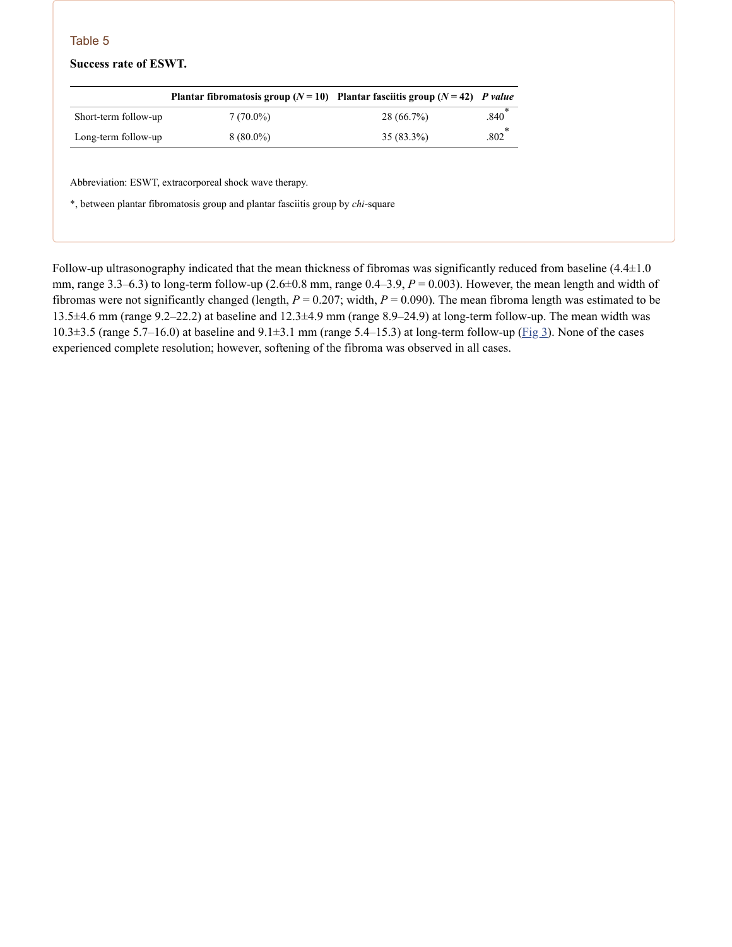#### **Success rate of ESWT.**

|                      | Plantar fibromatosis group $(N=10)$ Plantar fasciitis group $(N=42)$ P value |              |      |
|----------------------|------------------------------------------------------------------------------|--------------|------|
| Short-term follow-up | $7(70.0\%)$                                                                  | 28 (66.7%)   | .840 |
| Long-term follow-up  | $8(80.0\%)$                                                                  | $35(83.3\%)$ | .802 |

Abbreviation: ESWT, extracorporeal shock wave therapy.

\*, between plantar fibromatosis group and plantar fasciitis group by *chi*-square

Follow-up ultrasonography indicated that the mean thickness of fibromas was significantly reduced from baseline  $(4.4\pm1.0$ mm, range 3.3–6.3) to long-term follow-up (2.6±0.8 mm, range 0.4–3.9, *P* = 0.003). However, the mean length and width of fibromas were not significantly changed (length, *P* = 0.207; width, *P* = 0.090). The mean fibroma length was estimated to be 13.5±4.6 mm (range 9.2–22.2) at baseline and 12.3±4.9 mm (range 8.9–24.9) at long-term follow-up. The mean width was 10.3 $\pm$ 3.5 (range 5.7–16.0) at baseline and 9.1 $\pm$ 3.1 mm (range 5.4–15.3) at long-term follow-up ( $\overline{Fig 3}$  $\overline{Fig 3}$  $\overline{Fig 3}$ ). None of the cases experienced complete resolution; however, softening of the fibroma was observed in all cases.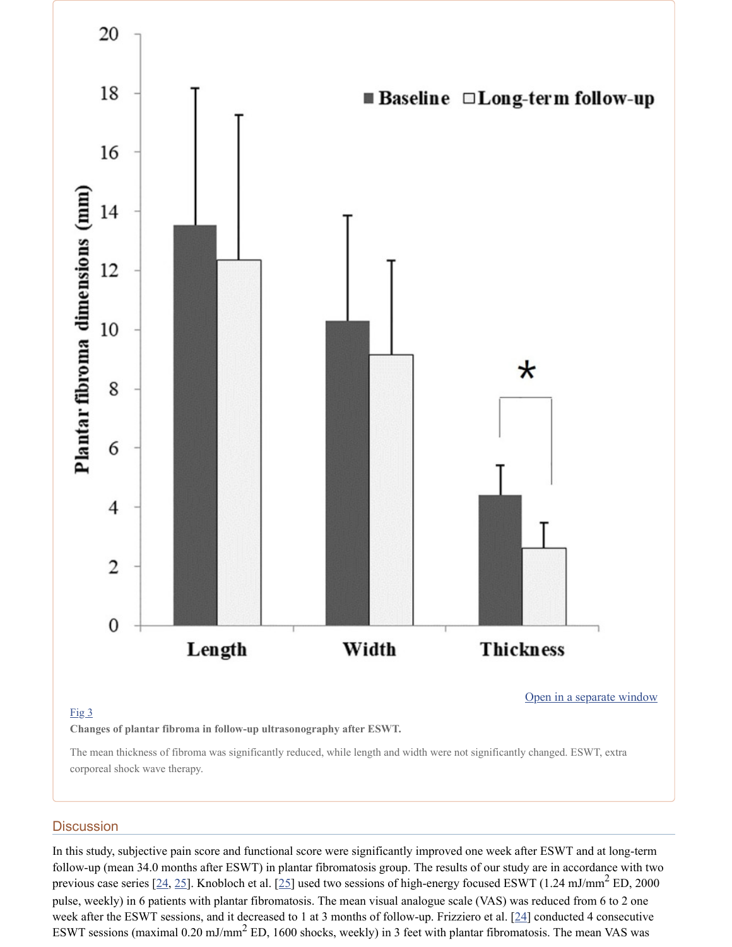

#### [Fig](https://www.ncbi.nlm.nih.gov/pmc/articles/PMC7416956/figure/pone.0237447.g003/) 3

**Changes of plantar fibroma in follow-up ultrasonography after ESWT.**

The mean thickness of fibroma was significantly reduced, while length and width were not significantly changed. ESWT, extra corporeal shock wave therapy.

#### **Discussion**

In this study, subjective pain score and functional score were significantly improved one week after ESWT and at long-term follow-up (mean 34.0 months after ESWT) in plantar fibromatosis group. The results of our study are in accordance with two previous case series [[24,](#page-11-6) [25](#page-11-7)]. Knobloch et al. [\[25\]](#page-11-7) used two sessions of high-energy focused ESWT (1.24 mJ/mm<sup>2</sup> ED, 2000 pulse, weekly) in 6 patients with plantar fibromatosis. The mean visual analogue scale (VAS) was reduced from 6 to 2 one week after the ESWT sessions, and it decreased to 1 at 3 months of follow-up. Frizziero et al. [[24\]](#page-11-6) conducted 4 consecutive ESWT sessions (maximal  $0.20 \text{ mJ/mm}^2$  ED, 1600 shocks, weekly) in 3 feet with plantar fibromatosis. The mean VAS was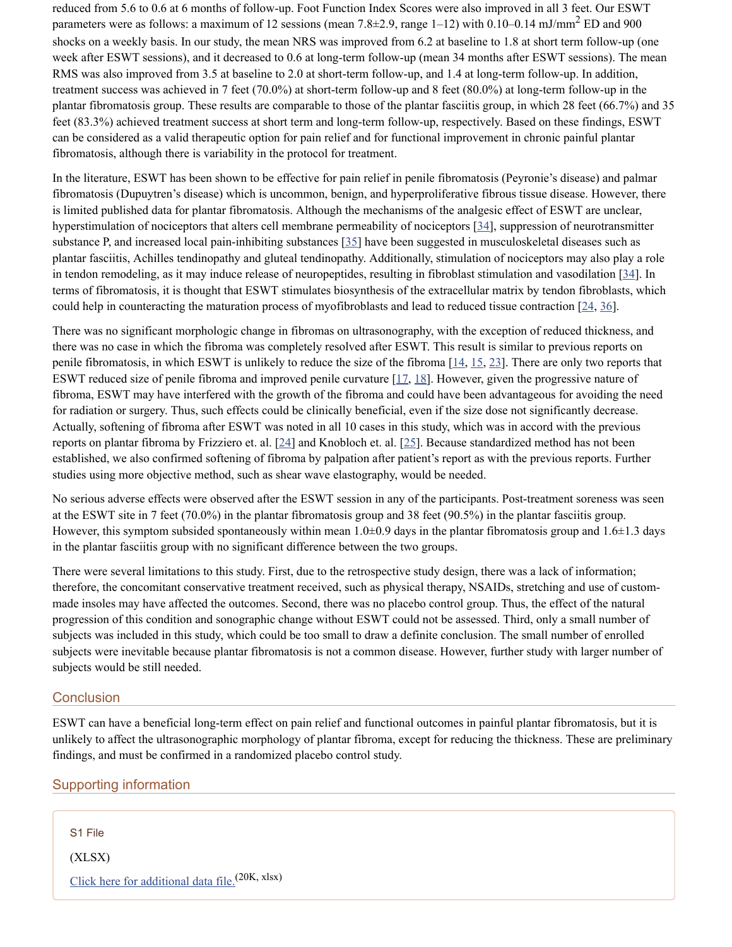reduced from 5.6 to 0.6 at 6 months of follow-up. Foot Function Index Scores were also improved in all 3 feet. Our ESWT parameters were as follows: a maximum of 12 sessions (mean 7.8 $\pm$ 2.9, range 1–12) with 0.10–0.14 mJ/mm<sup>2</sup> ED and 900 shocks on a weekly basis. In our study, the mean NRS was improved from 6.2 at baseline to 1.8 at short term follow-up (one week after ESWT sessions), and it decreased to 0.6 at long-term follow-up (mean 34 months after ESWT sessions). The mean RMS was also improved from 3.5 at baseline to 2.0 at short-term follow-up, and 1.4 at long-term follow-up. In addition, treatment success was achieved in 7 feet (70.0%) at short-term follow-up and 8 feet (80.0%) at long-term follow-up in the plantar fibromatosis group. These results are comparable to those of the plantar fasciitis group, in which 28 feet (66.7%) and 35 feet (83.3%) achieved treatment success at short term and long-term follow-up, respectively. Based on these findings, ESWT can be considered as a valid therapeutic option for pain relief and for functional improvement in chronic painful plantar fibromatosis, although there is variability in the protocol for treatment.

In the literature, ESWT has been shown to be effective for pain relief in penile fibromatosis (Peyronie's disease) and palmar fibromatosis (Dupuytren's disease) which is uncommon, benign, and hyperproliferative fibrous tissue disease. However, there is limited published data for plantar fibromatosis. Although the mechanisms of the analgesic effect of ESWT are unclear, hyperstimulation of nociceptors that alters cell membrane permeability of nociceptors [\[34](#page-12-1)], suppression of neurotransmitter substance P, and increased local pain-inhibiting substances [[35](#page-12-2)] have been suggested in musculoskeletal diseases such as plantar fasciitis, Achilles tendinopathy and gluteal tendinopathy. Additionally, stimulation of nociceptors may also play a role in tendon remodeling, as it may induce release of neuropeptides, resulting in fibroblast stimulation and vasodilation  $[34]$  $[34]$ . In terms of fibromatosis, it is thought that ESWT stimulates biosynthesis of the extracellular matrix by tendon fibroblasts, which could help in counteracting the maturation process of myofibroblasts and lead to reduced tissue contraction  $[24, 36]$  $[24, 36]$  $[24, 36]$  $[24, 36]$ .

There was no significant morphologic change in fibromas on ultrasonography, with the exception of reduced thickness, and there was no case in which the fibroma was completely resolved after ESWT. This result is similar to previous reports on penile fibromatosis, in which ESWT is unlikely to reduce the size of the fibroma  $[14, 15, 23]$  $[14, 15, 23]$  $[14, 15, 23]$  $[14, 15, 23]$  $[14, 15, 23]$  $[14, 15, 23]$  $[14, 15, 23]$ . There are only two reports that ESWT reduced size of penile fibroma and improved penile curvature  $[17, 18]$  $[17, 18]$  $[17, 18]$ . However, given the progressive nature of fibroma, ESWT may have interfered with the growth of the fibroma and could have been advantageous for avoiding the need for radiation or surgery. Thus, such effects could be clinically beneficial, even if the size dose not significantly decrease. Actually, softening of fibroma after ESWT was noted in all 10 cases in this study, which was in accord with the previous reports on plantar fibroma by Frizziero et. al. [\[24\]](#page-11-6) and Knobloch et. al. [[25](#page-11-7)]. Because standardized method has not been established, we also confirmed softening of fibroma by palpation after patient's report as with the previous reports. Further studies using more objective method, such as shear wave elastography, would be needed.

No serious adverse effects were observed after the ESWT session in any of the participants. Post-treatment soreness was seen at the ESWT site in 7 feet (70.0%) in the plantar fibromatosis group and 38 feet (90.5%) in the plantar fasciitis group. However, this symptom subsided spontaneously within mean  $1.0\pm0.9$  days in the plantar fibromatosis group and  $1.6\pm1.3$  days in the plantar fasciitis group with no significant difference between the two groups.

There were several limitations to this study. First, due to the retrospective study design, there was a lack of information; therefore, the concomitant conservative treatment received, such as physical therapy, NSAIDs, stretching and use of custommade insoles may have affected the outcomes. Second, there was no placebo control group. Thus, the effect of the natural progression of this condition and sonographic change without ESWT could not be assessed. Third, only a small number of subjects was included in this study, which could be too small to draw a definite conclusion. The small number of enrolled subjects were inevitable because plantar fibromatosis is not a common disease. However, further study with larger number of subjects would be still needed.

#### **Conclusion**

ESWT can have a beneficial long-term effect on pain relief and functional outcomes in painful plantar fibromatosis, but it is unlikely to affect the ultrasonographic morphology of plantar fibroma, except for reducing the thickness. These are preliminary findings, and must be confirmed in a randomized placebo control study.

#### Supporting information

S1 File

(XLSX)

Click here for [additional](https://www.ncbi.nlm.nih.gov/pmc/articles/PMC7416956/bin/pone.0237447.s001.xlsx) data file.<sup>(20K, xlsx)</sup>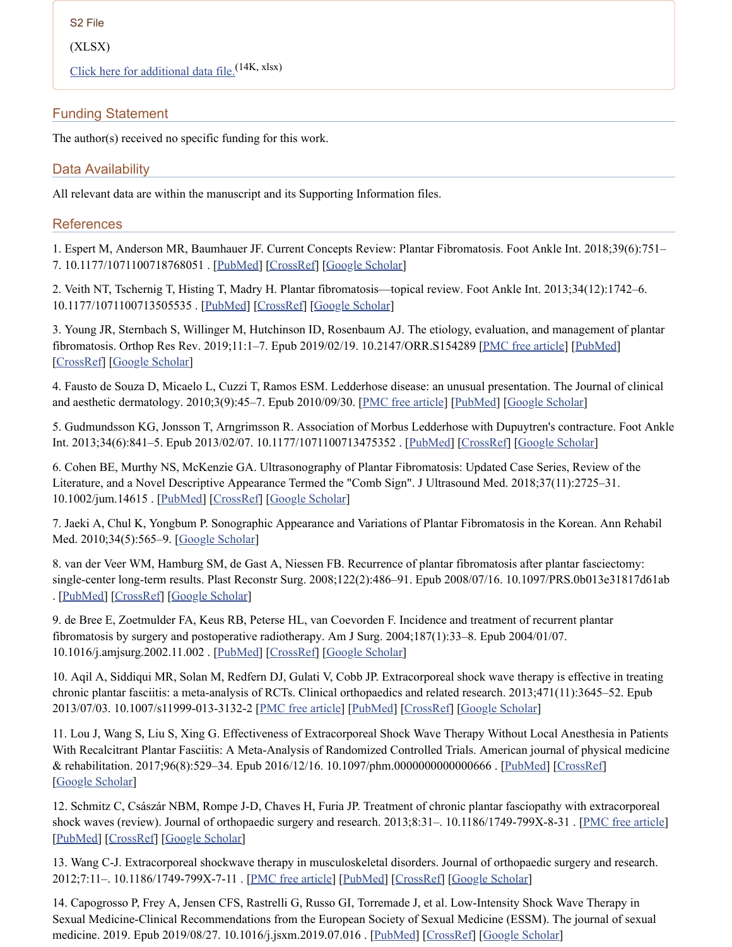S2 File

(XLSX)

Click here for [additional](https://www.ncbi.nlm.nih.gov/pmc/articles/PMC7416956/bin/pone.0237447.s002.xlsx) data file.<sup>(14K, xlsx)</sup>

## Funding Statement

The author(s) received no specific funding for this work.

## Data Availability

All relevant data are within the manuscript and its Supporting Information files.

### **References**

<span id="page-10-0"></span>1. Espert M, Anderson MR, Baumhauer JF. Current Concepts Review: Plantar Fibromatosis. Foot Ankle Int. 2018;39(6):751– 7. 10.1177/1071100718768051 . [[PubMed](https://www.ncbi.nlm.nih.gov/pubmed/29619843)] [[CrossRef\]](https://dx.doi.org/10.1177%2F1071100718768051) [Google [Scholar\]](https://scholar.google.com/scholar_lookup?journal=Foot+Ankle+Int&title=Current+Concepts+Review:+Plantar+Fibromatosis&author=M+Espert&author=MR+Anderson&author=JF+Baumhauer&volume=39&issue=6&publication_year=2018&pages=751-7&pmid=29619843&doi=10.1177/1071100718768051&)

2. Veith NT, Tschernig T, Histing T, Madry H. Plantar fibromatosis—topical review. Foot Ankle Int. 2013;34(12):1742–6. 10.1177/1071100713505535 . [\[PubMed](https://www.ncbi.nlm.nih.gov/pubmed/24043350)] [\[CrossRef\]](https://dx.doi.org/10.1177%2F1071100713505535) [Google [Scholar](https://scholar.google.com/scholar_lookup?journal=Foot+Ankle+Int&title=Plantar+fibromatosis%E2%80%94topical+review&author=NT+Veith&author=T+Tschernig&author=T+Histing&author=H+Madry&volume=34&issue=12&publication_year=2013&pages=1742-6&pmid=24043350&doi=10.1177/1071100713505535&)]

<span id="page-10-2"></span>3. Young JR, Sternbach S, Willinger M, Hutchinson ID, Rosenbaum AJ. The etiology, evaluation, and management of plantar fibromatosis. Orthop Res Rev. 2019;11:1–7. Epub 2019/02/19. 10.2147/ORR.S154289 [PMC free [article](https://www.ncbi.nlm.nih.gov/pmc/articles/PMC6367723/)] [\[PubMed\]](https://www.ncbi.nlm.nih.gov/pubmed/30774465) [\[CrossRef](https://dx.doi.org/10.2147%2FORR.S154289)] [Google [Scholar](https://scholar.google.com/scholar_lookup?journal=Orthop+Res+Rev&title=The+etiology,+evaluation,+and+management+of+plantar+fibromatosis&author=JR+Young&author=S+Sternbach&author=M+Willinger&author=ID+Hutchinson&author=AJ+Rosenbaum&volume=11&publication_year=2019&pages=1-7&pmid=30774465&doi=10.2147/ORR.S154289&)]

4. Fausto de Souza D, Micaelo L, Cuzzi T, Ramos ESM. Ledderhose disease: an unusual presentation. The Journal of clinical and aesthetic dermatology. 2010;3(9):45–7. Epub 2010/09/30. [PMC free [article](https://www.ncbi.nlm.nih.gov/pmc/articles/PMC2945849/)] [[PubMed](https://www.ncbi.nlm.nih.gov/pubmed/20877526)] [Google [Scholar](https://scholar.google.com/scholar_lookup?journal=The+Journal+of+clinical+and+aesthetic+dermatology&title=Ledderhose+disease:+an+unusual+presentation&author=D+Fausto+de+Souza&author=L+Micaelo&author=T+Cuzzi&author=ESM+Ramos&volume=3&issue=9&publication_year=2010&pages=45-7&pmid=20877526&)]

<span id="page-10-1"></span>5. Gudmundsson KG, Jonsson T, Arngrimsson R. Association of Morbus Ledderhose with Dupuytren's contracture. Foot Ankle Int. 2013;34(6):841–5. Epub 2013/02/07. 10.1177/1071100713475352 . [\[PubMed\]](https://www.ncbi.nlm.nih.gov/pubmed/23386754) [\[CrossRef](https://dx.doi.org/10.1177%2F1071100713475352)] [Google [Scholar](https://scholar.google.com/scholar_lookup?journal=Foot+Ankle+Int&title=Association+of+Morbus+Ledderhose+with+Dupuytren%27s+contracture.&author=KG+Gudmundsson&author=T+Jonsson&author=R+Arngrimsson&volume=34&issue=6&publication_year=2013&pages=841-5&pmid=23386754&doi=10.1177/1071100713475352&)]

<span id="page-10-3"></span>6. Cohen BE, Murthy NS, McKenzie GA. Ultrasonography of Plantar Fibromatosis: Updated Case Series, Review of the Literature, and a Novel Descriptive Appearance Termed the "Comb Sign". J Ultrasound Med. 2018;37(11):2725–31. 10.1002/jum.14615 . [[PubMed\]](https://www.ncbi.nlm.nih.gov/pubmed/29603334) [\[CrossRef\]](https://dx.doi.org/10.1002%2Fjum.14615) [Google [Scholar](https://scholar.google.com/scholar_lookup?journal=J+Ultrasound+Med&title=Ultrasonography+of+Plantar+Fibromatosis:+Updated+Case+Series,+Review+of+the+Literature,+and+a+Novel+Descriptive+Appearance+Termed+the+%22Comb+Sign%22&author=BE+Cohen&author=NS+Murthy&author=GA+McKenzie&volume=37&issue=11&publication_year=2018&pages=2725-31&pmid=29603334&doi=10.1002/jum.14615&)]

<span id="page-10-4"></span>7. Jaeki A, Chul K, Yongbum P. Sonographic Appearance and Variations of Plantar Fibromatosis in the Korean. Ann Rehabil Med. 2010;34(5):565–9. [Google [Scholar\]](https://scholar.google.com/scholar_lookup?journal=Ann+Rehabil+Med&title=Sonographic+Appearance+and+Variations+of+Plantar+Fibromatosis+in+the+Korean&author=A+Jaeki&author=K+Chul&author=P+Yongbum&volume=34&issue=5&publication_year=2010&pages=565-9&)

<span id="page-10-5"></span>8. van der Veer WM, Hamburg SM, de Gast A, Niessen FB. Recurrence of plantar fibromatosis after plantar fasciectomy: single-center long-term results. Plast Reconstr Surg. 2008;122(2):486–91. Epub 2008/07/16. 10.1097/PRS.0b013e31817d61ab . [\[PubMed\]](https://www.ncbi.nlm.nih.gov/pubmed/18626366) [\[CrossRef](https://dx.doi.org/10.1097%2FPRS.0b013e31817d61ab)] [Google [Scholar](https://scholar.google.com/scholar_lookup?journal=Plast+Reconstr+Surg&title=Recurrence+of+plantar+fibromatosis+after+plantar+fasciectomy:+single-center+long-term+results&author=WM+van+der+Veer&author=SM+Hamburg&author=A+de+Gast&author=FB+Niessen&volume=122&issue=2&publication_year=2008&pages=486-91&pmid=18626366&doi=10.1097/PRS.0b013e31817d61ab&)]

<span id="page-10-6"></span>9. de Bree E, Zoetmulder FA, Keus RB, Peterse HL, van Coevorden F. Incidence and treatment of recurrent plantar fibromatosis by surgery and postoperative radiotherapy. Am J Surg. 2004;187(1):33–8. Epub 2004/01/07. 10.1016/j.amjsurg.2002.11.002 . [\[PubMed\]](https://www.ncbi.nlm.nih.gov/pubmed/14706583) [[CrossRef\]](https://dx.doi.org/10.1016%2Fj.amjsurg.2002.11.002) [Google [Scholar\]](https://scholar.google.com/scholar_lookup?journal=Am+J+Surg&title=Incidence+and+treatment+of+recurrent+plantar+fibromatosis+by+surgery+and+postoperative+radiotherapy&author=E+de+Bree&author=FA+Zoetmulder&author=RB+Keus&author=HL+Peterse&author=F+van+Coevorden&volume=187&issue=1&publication_year=2004&pages=33-8&pmid=14706583&doi=10.1016/j.amjsurg.2002.11.002&)

<span id="page-10-7"></span>10. Aqil A, Siddiqui MR, Solan M, Redfern DJ, Gulati V, Cobb JP. Extracorporeal shock wave therapy is effective in treating chronic plantar fasciitis: a meta-analysis of RCTs. Clinical orthopaedics and related research. 2013;471(11):3645–52. Epub 2013/07/03. 10.1007/s11999-013-3132-2 [PMC free [article](https://www.ncbi.nlm.nih.gov/pmc/articles/PMC3792262/)] [[PubMed](https://www.ncbi.nlm.nih.gov/pubmed/23813184)] [[CrossRef](https://dx.doi.org/10.1007%2Fs11999-013-3132-2)] [Google [Scholar](https://scholar.google.com/scholar_lookup?journal=Clinical+orthopaedics+and+related+research&title=Extracorporeal+shock+wave+therapy+is+effective+in+treating+chronic+plantar+fasciitis:+a+meta-analysis+of+RCTs&author=A+Aqil&author=MR+Siddiqui&author=M+Solan&author=DJ+Redfern&author=V+Gulati&volume=471&issue=11&publication_year=2013&pages=3645-52&pmid=23813184&doi=10.1007/s11999-013-3132-2&)]

11. Lou J, Wang S, Liu S, Xing G. Effectiveness of Extracorporeal Shock Wave Therapy Without Local Anesthesia in Patients With Recalcitrant Plantar Fasciitis: A Meta-Analysis of Randomized Controlled Trials. American journal of physical medicine & rehabilitation. 2017;96(8):529–34. Epub 2016/12/16. 10.1097/phm.0000000000000666 . [[PubMed\]](https://www.ncbi.nlm.nih.gov/pubmed/27977431) [\[CrossRef](https://dx.doi.org/10.1097%2Fphm.0000000000000666)] [Google [Scholar\]](https://scholar.google.com/scholar_lookup?journal=American+journal+of+physical+medicine+&+rehabilitation&title=Effectiveness+of+Extracorporeal+Shock+Wave+Therapy+Without+Local+Anesthesia+in+Patients+With+Recalcitrant+Plantar+Fasciitis:+A+Meta-Analysis+of+Randomized+Controlled+Trials&author=J+Lou&author=S+Wang&author=S+Liu&author=G+Xing&volume=96&issue=8&publication_year=2017&pages=529-34&pmid=27977431&doi=10.1097/phm.0000000000000666&)

12. Schmitz C, Császár NBM, Rompe J-D, Chaves H, Furia JP. Treatment of chronic plantar fasciopathy with extracorporeal shock waves (review). Journal of orthopaedic surgery and research. 2013;8:31–. 10.1186/1749-799X-8-31 . [PMC free [article\]](https://www.ncbi.nlm.nih.gov/pmc/articles/PMC3844425/) [\[PubMed\]](https://www.ncbi.nlm.nih.gov/pubmed/24004715) [\[CrossRef](https://dx.doi.org/10.1186%2F1749-799X-8-31)] [Google [Scholar](https://scholar.google.com/scholar_lookup?journal=Journal+of+orthopaedic+surgery+and+research&title=Treatment+of+chronic+plantar+fasciopathy+with+extracorporeal+shock+waves+(review)&author=C+Schmitz&author=NBM+Cs%C3%A1sz%C3%A1r&author=J-D+Rompe&author=H+Chaves&author=JP+Furia&volume=8&publication_year=2013&pages=31&pmid=24004715&doi=10.1186/1749-799X-8-31&)]

<span id="page-10-8"></span>13. Wang C-J. Extracorporeal shockwave therapy in musculoskeletal disorders. Journal of orthopaedic surgery and research. 2012;7:11–. 10.1186/1749-799X-7-11 . [PMC free [article\]](https://www.ncbi.nlm.nih.gov/pmc/articles/PMC3342893/) [\[PubMed](https://www.ncbi.nlm.nih.gov/pubmed/22433113)] [[CrossRef\]](https://dx.doi.org/10.1186%2F1749-799X-7-11) [Google [Scholar\]](https://scholar.google.com/scholar_lookup?journal=Journal+of+orthopaedic+surgery+and+research&title=Extracorporeal+shockwave+therapy+in+musculoskeletal+disorders&author=C-J+Wang&volume=7&publication_year=2012&pages=11&pmid=22433113&doi=10.1186/1749-799X-7-11&)

<span id="page-10-9"></span>14. Capogrosso P, Frey A, Jensen CFS, Rastrelli G, Russo GI, Torremade J, et al. Low-Intensity Shock Wave Therapy in Sexual Medicine-Clinical Recommendations from the European Society of Sexual Medicine (ESSM). The journal of sexual medicine. 2019. Epub 2019/08/27. 10.1016/j.jsxm.2019.07.016 . [\[PubMed](https://www.ncbi.nlm.nih.gov/pubmed/31447380)] [[CrossRef\]](https://dx.doi.org/10.1016%2Fj.jsxm.2019.07.016) [Google [Scholar\]](https://scholar.google.com/scholar_lookup?journal=The+journal+of+sexual+medicine&title=Low-Intensity+Shock+Wave+Therapy+in+Sexual+Medicine-Clinical+Recommendations+from+the+European+Society+of+Sexual+Medicine+(ESSM)&author=P+Capogrosso&author=A+Frey&author=CFS+Jensen&author=G+Rastrelli&author=GI+Russo&publication_year=2019&pmid=31447380&doi=10.1016/j.jsxm.2019.07.016&)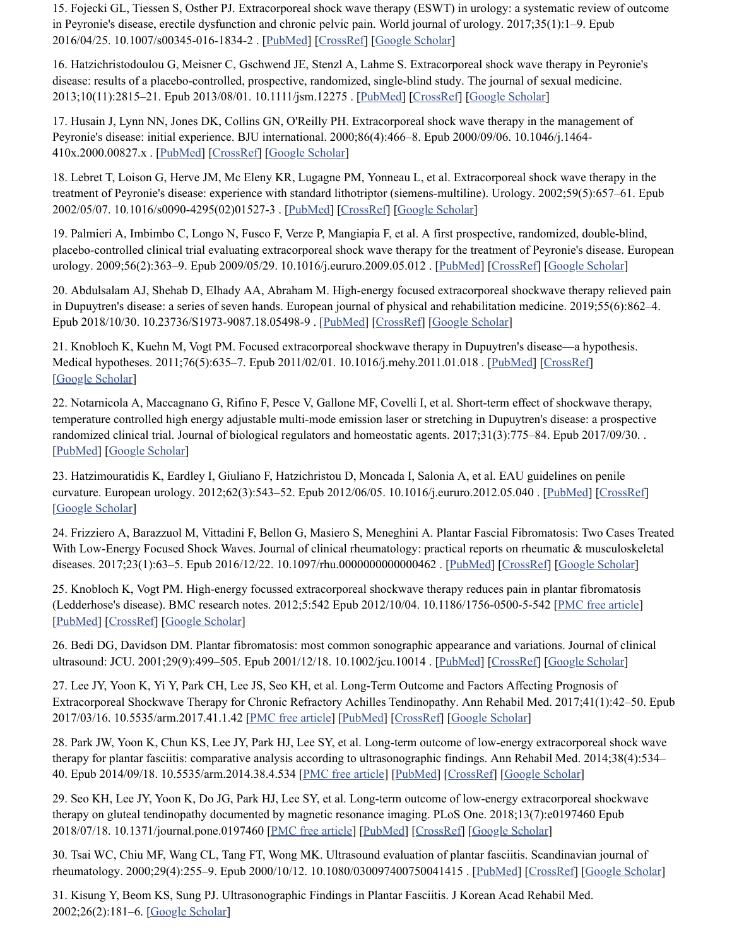<span id="page-11-3"></span>15. Fojecki GL, Tiessen S, Osther PJ. Extracorporeal shock wave therapy (ESWT) in urology: a systematic review of outcome in Peyronie's disease, erectile dysfunction and chronic pelvic pain. World journal of urology. 2017;35(1):1–9. Epub 2016/04/25. 10.1007/s00345-016-1834-2 . [\[PubMed\]](https://www.ncbi.nlm.nih.gov/pubmed/27108421) [\[CrossRef\]](https://dx.doi.org/10.1007%2Fs00345-016-1834-2) [Google [Scholar](https://scholar.google.com/scholar_lookup?journal=World+journal+of+urology&title=Extracorporeal+shock+wave+therapy+(ESWT)+in+urology:+a+systematic+review+of+outcome+in+Peyronie%27s+disease,+erectile+dysfunction+and+chronic+pelvic+pain&author=GL+Fojecki&author=S+Tiessen&author=PJ+Osther&volume=35&issue=1&publication_year=2017&pages=1-9&pmid=27108421&doi=10.1007/s00345-016-1834-2&)]

<span id="page-11-4"></span>16. Hatzichristodoulou G, Meisner C, Gschwend JE, Stenzl A, Lahme S. Extracorporeal shock wave therapy in Peyronie's disease: results of a placebo-controlled, prospective, randomized, single-blind study. The journal of sexual medicine. 2013;10(11):2815–21. Epub 2013/08/01. 10.1111/jsm.12275 . [[PubMed](https://www.ncbi.nlm.nih.gov/pubmed/23898925)] [[CrossRef\]](https://dx.doi.org/10.1111%2Fjsm.12275) [Google [Scholar](https://scholar.google.com/scholar_lookup?journal=The+journal+of+sexual+medicine&title=Extracorporeal+shock+wave+therapy+in+Peyronie%27s+disease:+results+of+a+placebo-controlled,+prospective,+randomized,+single-blind+study&author=G+Hatzichristodoulou&author=C+Meisner&author=JE+Gschwend&author=A+Stenzl&author=S+Lahme&volume=10&issue=11&publication_year=2013&pages=2815-21&pmid=23898925&doi=10.1111/jsm.12275&)]

<span id="page-11-12"></span>17. Husain J, Lynn NN, Jones DK, Collins GN, O'Reilly PH. Extracorporeal shock wave therapy in the management of Peyronie's disease: initial experience. BJU international. 2000;86(4):466–8. Epub 2000/09/06. 10.1046/j.1464- 410x.2000.00827.x . [[PubMed](https://www.ncbi.nlm.nih.gov/pubmed/10971273)] [[CrossRef](https://dx.doi.org/10.1046%2Fj.1464-410x.2000.00827.x)] [Google [Scholar\]](https://scholar.google.com/scholar_lookup?journal=BJU+international&title=Extracorporeal+shock+wave+therapy+in+the+management+of+Peyronie%27s+disease:+initial+experience&author=J+Husain&author=NN+Lynn&author=DK+Jones&author=GN+Collins&author=PH+O%27Reilly&volume=86&issue=4&publication_year=2000&pages=466-8&pmid=10971273&doi=10.1046/j.1464-410x.2000.00827.x&)

<span id="page-11-13"></span>18. Lebret T, Loison G, Herve JM, Mc Eleny KR, Lugagne PM, Yonneau L, et al. Extracorporeal shock wave therapy in the treatment of Peyronie's disease: experience with standard lithotriptor (siemens-multiline). Urology. 2002;59(5):657–61. Epub 2002/05/07. 10.1016/s0090-4295(02)01527-3 . [[PubMed](https://www.ncbi.nlm.nih.gov/pubmed/11992835)] [[CrossRef](https://dx.doi.org/10.1016%2Fs0090-4295(02)01527-3)] [Google [Scholar\]](https://scholar.google.com/scholar_lookup?journal=Urology&title=Extracorporeal+shock+wave+therapy+in+the+treatment+of+Peyronie%27s+disease:+experience+with+standard+lithotriptor+(siemens-multiline)&author=T+Lebret&author=G+Loison&author=JM+Herve&author=KR+Mc+Eleny&author=PM+Lugagne&volume=59&issue=5&publication_year=2002&pages=657-61&pmid=11992835&doi=10.1016/s0090-4295(02)01527-3&)

<span id="page-11-0"></span>19. Palmieri A, Imbimbo C, Longo N, Fusco F, Verze P, Mangiapia F, et al. A first prospective, randomized, double-blind, placebo-controlled clinical trial evaluating extracorporeal shock wave therapy for the treatment of Peyronie's disease. European urology. 2009;56(2):363-9. Epub 2009/05/29. 10.1016/j.eururo.2009.05.012 . [\[PubMed\]](https://www.ncbi.nlm.nih.gov/pubmed/19473751) [\[CrossRef](https://dx.doi.org/10.1016%2Fj.eururo.2009.05.012)] [Google [Scholar](https://scholar.google.com/scholar_lookup?journal=European+urology&title=A+first+prospective,+randomized,+double-blind,+placebo-controlled+clinical+trial+evaluating+extracorporeal+shock+wave+therapy+for+the+treatment+of+Peyronie%27s+disease&author=A+Palmieri&author=C+Imbimbo&author=N+Longo&author=F+Fusco&author=P+Verze&volume=56&issue=2&publication_year=2009&pages=363-9&pmid=19473751&doi=10.1016/j.eururo.2009.05.012&)]

<span id="page-11-1"></span>20. Abdulsalam AJ, Shehab D, Elhady AA, Abraham M. High-energy focused extracorporeal shockwave therapy relieved pain in Dupuytren's disease: a series of seven hands. European journal of physical and rehabilitation medicine. 2019;55(6):862–4. Epub 2018/10/30. 10.23736/S1973-9087.18.05498-9 . [[PubMed](https://www.ncbi.nlm.nih.gov/pubmed/30370754)] [\[CrossRef\]](https://dx.doi.org/10.23736%2FS1973-9087.18.05498-9) [Google [Scholar](https://scholar.google.com/scholar_lookup?journal=European+journal+of+physical+and+rehabilitation+medicine&title=High-energy+focused+extracorporeal+shockwave+therapy+relieved+pain+in+Dupuytren%27s+disease:+a+series+of+seven+hands&author=AJ+Abdulsalam&author=D+Shehab&author=AA+Elhady&author=M+Abraham&volume=55&issue=6&publication_year=2019&pages=862-4&pmid=30370754&doi=10.23736/S1973-9087.18.05498-9&)]

21. Knobloch K, Kuehn M, Vogt PM. Focused extracorporeal shockwave therapy in Dupuytren's disease—a hypothesis. Medical hypotheses. 2011;76(5):635–7. Epub 2011/02/01. 10.1016/j.mehy.2011.01.018 . [\[PubMed\]](https://www.ncbi.nlm.nih.gov/pubmed/21277691) [\[CrossRef](https://dx.doi.org/10.1016%2Fj.mehy.2011.01.018)] [Google [Scholar\]](https://scholar.google.com/scholar_lookup?journal=Medical+hypotheses&title=Focused+extracorporeal+shockwave+therapy+in+Dupuytren%27s+disease%E2%80%94a+hypothesis&author=K+Knobloch&author=M+Kuehn&author=PM+Vogt&volume=76&issue=5&publication_year=2011&pages=635-7&pmid=21277691&doi=10.1016/j.mehy.2011.01.018&)

<span id="page-11-2"></span>22. Notarnicola A, Maccagnano G, Rifino F, Pesce V, Gallone MF, Covelli I, et al. Short-term effect of shockwave therapy, temperature controlled high energy adjustable multi-mode emission laser or stretching in Dupuytren's disease: a prospective randomized clinical trial. Journal of biological regulators and homeostatic agents. 2017;31(3):775–84. Epub 2017/09/30. . [\[PubMed\]](https://www.ncbi.nlm.nih.gov/pubmed/28958137) [Google [Scholar\]](https://scholar.google.com/scholar_lookup?journal=Journal+of+biological+regulators+and+homeostatic+agents&title=Short-term+effect+of+shockwave+therapy,+temperature+controlled+high+energy+adjustable+multi-mode+emission+laser+or+stretching+in+Dupuytren%27s+disease:+a+prospective+randomized+clinical+trial&author=A+Notarnicola&author=G+Maccagnano&author=F+Rifino&author=V+Pesce&author=MF+Gallone&volume=31&issue=3&publication_year=2017&pages=775-84&pmid=28958137&)

<span id="page-11-5"></span>23. Hatzimouratidis K, Eardley I, Giuliano F, Hatzichristou D, Moncada I, Salonia A, et al. EAU guidelines on penile curvature. European urology. 2012;62(3):543–52. Epub 2012/06/05. 10.1016/j.eururo.2012.05.040 . [[PubMed](https://www.ncbi.nlm.nih.gov/pubmed/22658761)] [[CrossRef](https://dx.doi.org/10.1016%2Fj.eururo.2012.05.040)] [Google [Scholar\]](https://scholar.google.com/scholar_lookup?journal=European+urology&title=EAU+guidelines+on+penile+curvature&author=K+Hatzimouratidis&author=I+Eardley&author=F+Giuliano&author=D+Hatzichristou&author=I+Moncada&volume=62&issue=3&publication_year=2012&pages=543-52&pmid=22658761&doi=10.1016/j.eururo.2012.05.040&)

<span id="page-11-6"></span>24. Frizziero A, Barazzuol M, Vittadini F, Bellon G, Masiero S, Meneghini A. Plantar Fascial Fibromatosis: Two Cases Treated With Low-Energy Focused Shock Waves. Journal of clinical rheumatology: practical reports on rheumatic & musculoskeletal diseases. 2017;23(1):63–5. Epub 2016/12/22. 10.1097/rhu.0000000000000462 . [\[PubMed\]](https://www.ncbi.nlm.nih.gov/pubmed/28002162) [\[CrossRef](https://dx.doi.org/10.1097%2Frhu.0000000000000462)] [Google [Scholar](https://scholar.google.com/scholar_lookup?journal=Journal+of+clinical+rheumatology:+practical+reports+on+rheumatic+&+musculoskeletal+diseases&title=Plantar+Fascial+Fibromatosis:+Two+Cases+Treated+With+Low-Energy+Focused+Shock+Waves&author=A+Frizziero&author=M+Barazzuol&author=F+Vittadini&author=G+Bellon&author=S+Masiero&volume=23&issue=1&publication_year=2017&pages=63-5&pmid=28002162&doi=10.1097/rhu.0000000000000462&)]

<span id="page-11-7"></span>25. Knobloch K, Vogt PM. High-energy focussed extracorporeal shockwave therapy reduces pain in plantar fibromatosis (Ledderhose's disease). BMC research notes. 2012;5:542 Epub 2012/10/04. 10.1186/1756-0500-5-542 [PMC free [article\]](https://www.ncbi.nlm.nih.gov/pmc/articles/PMC3637402/) [\[PubMed\]](https://www.ncbi.nlm.nih.gov/pubmed/23031080) [\[CrossRef](https://dx.doi.org/10.1186%2F1756-0500-5-542)] [Google [Scholar](https://scholar.google.com/scholar_lookup?journal=BMC+research+notes&title=High-energy+focussed+extracorporeal+shockwave+therapy+reduces+pain+in+plantar+fibromatosis+(Ledderhose%27s+disease)&author=K+Knobloch&author=PM+Vogt&volume=5&publication_year=2012&pages=542&pmid=23031080&doi=10.1186/1756-0500-5-542&)]

<span id="page-11-8"></span>26. Bedi DG, Davidson DM. Plantar fibromatosis: most common sonographic appearance and variations. Journal of clinical ultrasound: JCU. 2001;29(9):499–505. Epub 2001/12/18. 10.1002/jcu.10014 . [\[PubMed\]](https://www.ncbi.nlm.nih.gov/pubmed/11745860) [\[CrossRef](https://dx.doi.org/10.1002%2Fjcu.10014)] [Google [Scholar](https://scholar.google.com/scholar_lookup?journal=Journal+of+clinical+ultrasound:+JCU&title=Plantar+fibromatosis:+most+common+sonographic+appearance+and+variations&author=DG+Bedi&author=DM+Davidson&volume=29&issue=9&publication_year=2001&pages=499-505&pmid=11745860&doi=10.1002/jcu.10014&)]

<span id="page-11-9"></span>27. Lee JY, Yoon K, Yi Y, Park CH, Lee JS, Seo KH, et al. Long-Term Outcome and Factors Affecting Prognosis of Extracorporeal Shockwave Therapy for Chronic Refractory Achilles Tendinopathy. Ann Rehabil Med. 2017;41(1):42–50. Epub 2017/03/16. 10.5535/arm.2017.41.1.42 [PMC free [article](https://www.ncbi.nlm.nih.gov/pmc/articles/PMC5344825/)] [\[PubMed\]](https://www.ncbi.nlm.nih.gov/pubmed/28289634) [\[CrossRef](https://dx.doi.org/10.5535%2Farm.2017.41.1.42)] [Google [Scholar](https://scholar.google.com/scholar_lookup?journal=Ann+Rehabil+Med&title=Long-Term+Outcome+and+Factors+Affecting+Prognosis+of+Extracorporeal+Shockwave+Therapy+for+Chronic+Refractory+Achilles+Tendinopathy&author=JY+Lee&author=K+Yoon&author=Y+Yi&author=CH+Park&author=JS+Lee&volume=41&issue=1&publication_year=2017&pages=42-50&pmid=28289634&doi=10.5535/arm.2017.41.1.42&)]

28. Park JW, Yoon K, Chun KS, Lee JY, Park HJ, Lee SY, et al. Long-term outcome of low-energy extracorporeal shock wave therapy for plantar fasciitis: comparative analysis according to ultrasonographic findings. Ann Rehabil Med. 2014;38(4):534– 40. Epub 2014/09/18. 10.5535/arm.2014.38.4.534 [PMC free [article](https://www.ncbi.nlm.nih.gov/pmc/articles/PMC4163593/)] [[PubMed](https://www.ncbi.nlm.nih.gov/pubmed/25229032)] [[CrossRef](https://dx.doi.org/10.5535%2Farm.2014.38.4.534)] [Google [Scholar\]](https://scholar.google.com/scholar_lookup?journal=Ann+Rehabil+Med&title=Long-term+outcome+of+low-energy+extracorporeal+shock+wave+therapy+for+plantar+fasciitis:+comparative+analysis+according+to+ultrasonographic+findings&author=JW+Park&author=K+Yoon&author=KS+Chun&author=JY+Lee&author=HJ+Park&volume=38&issue=4&publication_year=2014&pages=534-40&pmid=25229032&doi=10.5535/arm.2014.38.4.534&)

<span id="page-11-10"></span>29. Seo KH, Lee JY, Yoon K, Do JG, Park HJ, Lee SY, et al. Long-term outcome of low-energy extracorporeal shockwave therapy on gluteal tendinopathy documented by magnetic resonance imaging. PLoS One. 2018;13(7):e0197460 Epub 2018/07/18. 10.1371/journal.pone.0197460 [PMC free [article\]](https://www.ncbi.nlm.nih.gov/pmc/articles/PMC6050036/) [[PubMed\]](https://www.ncbi.nlm.nih.gov/pubmed/30016333) [[CrossRef\]](https://dx.doi.org/10.1371%2Fjournal.pone.0197460) [Google [Scholar\]](https://scholar.google.com/scholar_lookup?journal=PLoS+One&title=Long-term+outcome+of+low-energy+extracorporeal+shockwave+therapy+on+gluteal+tendinopathy+documented+by+magnetic+resonance+imaging&author=KH+Seo&author=JY+Lee&author=K+Yoon&author=JG+Do&author=HJ+Park&volume=13&issue=7&publication_year=2018&pages=e0197460&pmid=30016333&doi=10.1371/journal.pone.0197460&)

<span id="page-11-11"></span>30. Tsai WC, Chiu MF, Wang CL, Tang FT, Wong MK. Ultrasound evaluation of plantar fasciitis. Scandinavian journal of rheumatology. 2000;29(4):255–9. Epub 2000/10/12. 10.1080/030097400750041415 . [\[PubMed](https://www.ncbi.nlm.nih.gov/pubmed/11028848)] [\[CrossRef\]](https://dx.doi.org/10.1080%2F030097400750041415) [Google [Scholar](https://scholar.google.com/scholar_lookup?journal=Scandinavian+journal+of+rheumatology&title=Ultrasound+evaluation+of+plantar+fasciitis&author=WC+Tsai&author=MF+Chiu&author=CL+Wang&author=FT+Tang&author=MK+Wong&volume=29&issue=4&publication_year=2000&pages=255-9&pmid=11028848&doi=10.1080/030097400750041415&)]

31. Kisung Y, Beom KS, Sung PJ. Ultrasonographic Findings in Plantar Fasciitis. J Korean Acad Rehabil Med. 2002;26(2):181–6. [Google [Scholar](https://scholar.google.com/scholar_lookup?journal=J+Korean+Acad+Rehabil+Med&title=Ultrasonographic+Findings+in+Plantar+Fasciitis&author=Y+Kisung&author=KS+Beom&author=PJ+Sung&volume=26&issue=2&publication_year=2002&pages=181-6&)]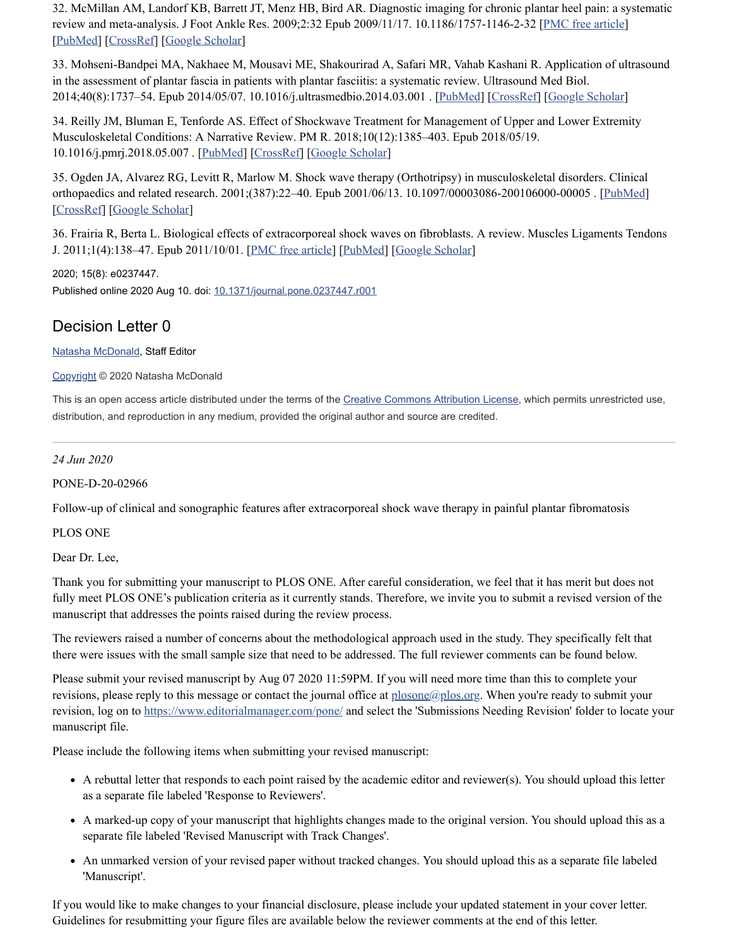32. McMillan AM, Landorf KB, Barrett JT, Menz HB, Bird AR. Diagnostic imaging for chronic plantar heel pain: a systematic review and meta-analysis. J Foot Ankle Res. 2009;2:32 Epub 2009/11/17. 10.1186/1757-1146-2-32 [PMC free [article\]](https://www.ncbi.nlm.nih.gov/pmc/articles/PMC2784446/) [\[PubMed\]](https://www.ncbi.nlm.nih.gov/pubmed/19912628) [\[CrossRef](https://dx.doi.org/10.1186%2F1757-1146-2-32)] [Google [Scholar](https://scholar.google.com/scholar_lookup?journal=J+Foot+Ankle+Res&title=Diagnostic+imaging+for+chronic+plantar+heel+pain:+a+systematic+review+and+meta-analysis&author=AM+McMillan&author=KB+Landorf&author=JT+Barrett&author=HB+Menz&author=AR+Bird&volume=2&publication_year=2009&pages=32&pmid=19912628&doi=10.1186/1757-1146-2-32&)]

<span id="page-12-0"></span>33. Mohseni-Bandpei MA, Nakhaee M, Mousavi ME, Shakourirad A, Safari MR, Vahab Kashani R. Application of ultrasound in the assessment of plantar fascia in patients with plantar fasciitis: a systematic review. Ultrasound Med Biol. 2014;40(8):1737–54. Epub 2014/05/07. 10.1016/j.ultrasmedbio.2014.03.001 . [\[PubMed\]](https://www.ncbi.nlm.nih.gov/pubmed/24798393) [\[CrossRef](https://dx.doi.org/10.1016%2Fj.ultrasmedbio.2014.03.001)] [Google [Scholar](https://scholar.google.com/scholar_lookup?journal=Ultrasound+Med+Biol&title=Application+of+ultrasound+in+the+assessment+of+plantar+fascia+in+patients+with+plantar+fasciitis:+a+systematic+review&author=MA+Mohseni-Bandpei&author=M+Nakhaee&author=ME+Mousavi&author=A+Shakourirad&author=MR+Safari&volume=40&issue=8&publication_year=2014&pages=1737-54&pmid=24798393&doi=10.1016/j.ultrasmedbio.2014.03.001&)]

<span id="page-12-1"></span>34. Reilly JM, Bluman E, Tenforde AS. Effect of Shockwave Treatment for Management of Upper and Lower Extremity Musculoskeletal Conditions: A Narrative Review. PM R. 2018;10(12):1385–403. Epub 2018/05/19. 10.1016/j.pmrj.2018.05.007 . [[PubMed](https://www.ncbi.nlm.nih.gov/pubmed/29775801)] [[CrossRef\]](https://dx.doi.org/10.1016%2Fj.pmrj.2018.05.007) [Google [Scholar\]](https://scholar.google.com/scholar_lookup?journal=PM+R&title=Effect+of+Shockwave+Treatment+for+Management+of+Upper+and+Lower+Extremity+Musculoskeletal+Conditions:+A+Narrative+Review&author=JM+Reilly&author=E+Bluman&author=AS+Tenforde&volume=10&issue=12&publication_year=2018&pages=1385-403&pmid=29775801&doi=10.1016/j.pmrj.2018.05.007&)

<span id="page-12-2"></span>35. Ogden JA, Alvarez RG, Levitt R, Marlow M. Shock wave therapy (Orthotripsy) in musculoskeletal disorders. Clinical orthopaedics and related research. 2001;(387):22–40. Epub 2001/06/13. 10.1097/00003086-200106000-00005 . [[PubMed\]](https://www.ncbi.nlm.nih.gov/pubmed/11400888) [\[CrossRef](https://dx.doi.org/10.1097%2F00003086-200106000-00005)] [Google [Scholar](https://scholar.google.com/scholar_lookup?journal=Clinical+orthopaedics+and+related+research&title=Shock+wave+therapy+(Orthotripsy)+in+musculoskeletal+disorders&author=JA+Ogden&author=RG+Alvarez&author=R+Levitt&author=M+Marlow&issue=387&publication_year=2001&pages=22-40&pmid=11400888&doi=10.1097/00003086-200106000-00005&)]

<span id="page-12-3"></span>36. Frairia R, Berta L. Biological effects of extracorporeal shock waves on fibroblasts. A review. Muscles Ligaments Tendons J. 2011;1(4):138–47. Epub 2011/10/01. [PMC free [article\]](https://www.ncbi.nlm.nih.gov/pmc/articles/PMC3666484/) [\[PubMed](https://www.ncbi.nlm.nih.gov/pubmed/23738262)] [Google [Scholar\]](https://scholar.google.com/scholar_lookup?journal=Muscles+Ligaments+Tendons+J&title=Biological+effects+of+extracorporeal+shock+waves+on+fibroblasts.+A+review&author=R+Frairia&author=L+Berta&volume=1&issue=4&publication_year=2011&pages=138-47&pmid=23738262&)

2020; 15(8): e0237447. Published online 2020 Aug 10. doi: [10.1371/journal.pone.0237447.r001](https://dx.doi.org/10.1371%2Fjournal.pone.0237447.r001)

## Decision Letter 0

Natasha [McDonald,](https://www.ncbi.nlm.nih.gov/pubmed/?term=McDonald%20N%5BAuthor%5D&cauthor=true&cauthor_uid=32776988) Staff Editor

#### [Copyright](https://www.ncbi.nlm.nih.gov/pmc/about/copyright/) © 2020 Natasha McDonald

This is an open access article distributed under the terms of the Creative [Commons](http://creativecommons.org/licenses/by/4.0/) Attribution License, which permits unrestricted use, distribution, and reproduction in any medium, provided the original author and source are credited.

*24 Jun 2020*

#### PONE-D-20-02966

Follow-up of clinical and sonographic features after extracorporeal shock wave therapy in painful plantar fibromatosis

#### PLOS ONE

Dear Dr. Lee,

Thank you for submitting your manuscript to PLOS ONE. After careful consideration, we feel that it has merit but does not fully meet PLOS ONE's publication criteria as it currently stands. Therefore, we invite you to submit a revised version of the manuscript that addresses the points raised during the review process.

The reviewers raised a number of concerns about the methodological approach used in the study. They specifically felt that there were issues with the small sample size that need to be addressed. The full reviewer comments can be found below.

Please submit your revised manuscript by Aug 07 2020 11:59PM. If you will need more time than this to complete your revisions, please reply to this message or contact the journal office at [plosone@plos.org.](mailto:dev@null) When you're ready to submit your revision, log on to <https://www.editorialmanager.com/pone/> and select the 'Submissions Needing Revision' folder to locate your manuscript file.

Please include the following items when submitting your revised manuscript:

- A rebuttal letter that responds to each point raised by the academic editor and reviewer(s). You should upload this letter as a separate file labeled 'Response to Reviewers'.
- A marked-up copy of your manuscript that highlights changes made to the original version. You should upload this as a separate file labeled 'Revised Manuscript with Track Changes'.
- An unmarked version of your revised paper without tracked changes. You should upload this as a separate file labeled 'Manuscript'.

If you would like to make changes to your financial disclosure, please include your updated statement in your cover letter. Guidelines for resubmitting your figure files are available below the reviewer comments at the end of this letter.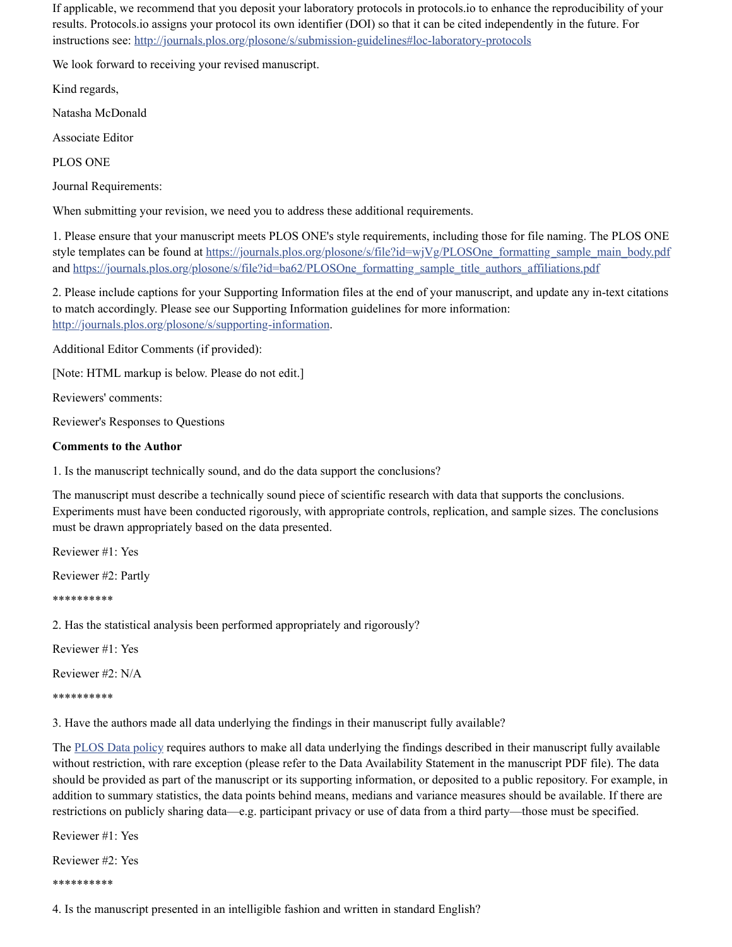If applicable, we recommend that you deposit your laboratory protocols in protocols.io to enhance the reproducibility of your results. Protocols.io assigns your protocol its own identifier (DOI) so that it can be cited independently in the future. For instructions see: <http://journals.plos.org/plosone/s/submission-guidelines#loc-laboratory-protocols>

We look forward to receiving your revised manuscript.

Kind regards,

Natasha McDonald

Associate Editor

PLOS ONE

Journal Requirements:

When submitting your revision, we need you to address these additional requirements.

1. Please ensure that your manuscript meets PLOS ONE's style requirements, including those for file naming. The PLOS ONE style templates can be found at [https://journals.plos.org/plosone/s/file?id=wjVg/PLOSOne\\_formatting\\_sample\\_main\\_body.pdf](https://journals.plos.org/plosone/s/file?id=wjVg/PLOSOne_formatting_sample_main_body.pdf) and [https://journals.plos.org/plosone/s/file?id=ba62/PLOSOne\\_formatting\\_sample\\_title\\_authors\\_affiliations.pdf](https://journals.plos.org/plosone/s/file?id=ba62/PLOSOne_formatting_sample_title_authors_affiliations.pdf)

2. Please include captions for your Supporting Information files at the end of your manuscript, and update any in-text citations to match accordingly. Please see our Supporting Information guidelines for more information: http://journals.plos.org/plosone/s/supporting-information.

Additional Editor Comments (if provided):

[Note: HTML markup is below. Please do not edit.]

Reviewers' comments:

Reviewer's Responses to Questions

#### **Comments to the Author**

1. Is the manuscript technically sound, and do the data support the conclusions?

The manuscript must describe a technically sound piece of scientific research with data that supports the conclusions. Experiments must have been conducted rigorously, with appropriate controls, replication, and sample sizes. The conclusions must be drawn appropriately based on the data presented.

Reviewer #1: Yes

Reviewer #2: Partly

\*\*\*\*\*\*\*\*\*\*

2. Has the statistical analysis been performed appropriately and rigorously?

Reviewer #1: Yes

Reviewer #2: N/A

\*\*\*\*\*\*\*\*\*\*

3. Have the authors made all data underlying the findings in their manuscript fully available?

The PLOS Data [policy](http://www.plosone.org/static/policies.action#sharing) requires authors to make all data underlying the findings described in their manuscript fully available without restriction, with rare exception (please refer to the Data Availability Statement in the manuscript PDF file). The data should be provided as part of the manuscript or its supporting information, or deposited to a public repository. For example, in addition to summary statistics, the data points behind means, medians and variance measures should be available. If there are restrictions on publicly sharing data—e.g. participant privacy or use of data from a third party—those must be specified.

Reviewer #1: Yes

Reviewer #2: Yes

\*\*\*\*\*\*\*\*\*\*

4. Is the manuscript presented in an intelligible fashion and written in standard English?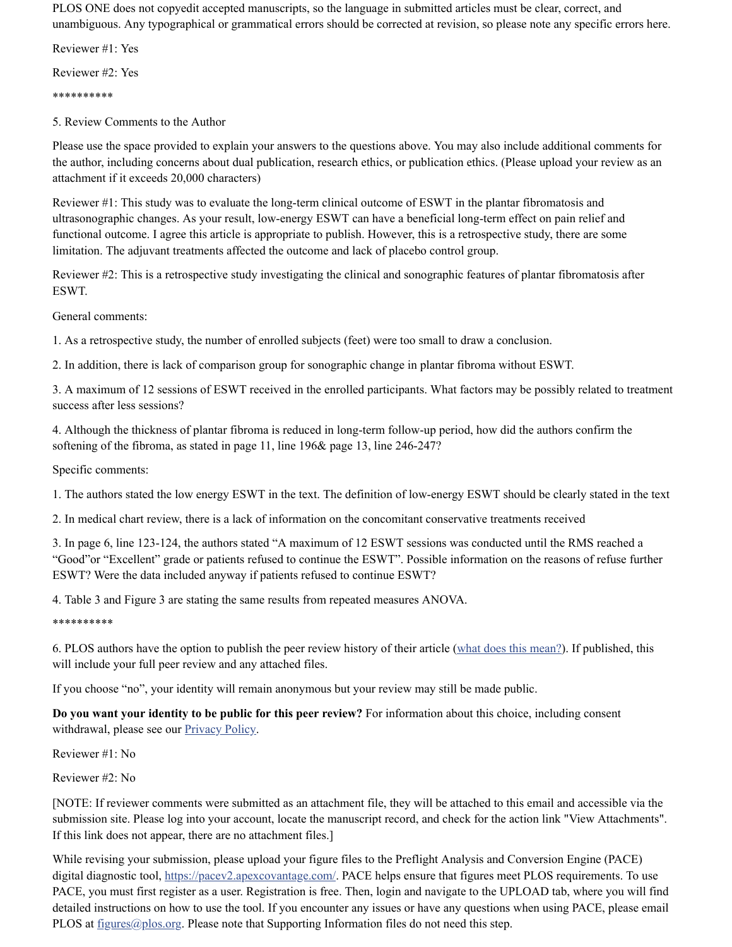PLOS ONE does not copyedit accepted manuscripts, so the language in submitted articles must be clear, correct, and unambiguous. Any typographical or grammatical errors should be corrected at revision, so please note any specific errors here.

Reviewer #1: Yes

Reviewer #2: Yes

\*\*\*\*\*\*\*\*\*\*

5. Review Comments to the Author

Please use the space provided to explain your answers to the questions above. You may also include additional comments for the author, including concerns about dual publication, research ethics, or publication ethics. (Please upload your review as an attachment if it exceeds 20,000 characters)

Reviewer #1: This study was to evaluate the long-term clinical outcome of ESWT in the plantar fibromatosis and ultrasonographic changes. As your result, low-energy ESWT can have a beneficial long-term effect on pain relief and functional outcome. I agree this article is appropriate to publish. However, this is a retrospective study, there are some limitation. The adjuvant treatments affected the outcome and lack of placebo control group.

Reviewer #2: This is a retrospective study investigating the clinical and sonographic features of plantar fibromatosis after ESWT.

General comments:

1. As a retrospective study, the number of enrolled subjects (feet) were too small to draw a conclusion.

2. In addition, there is lack of comparison group for sonographic change in plantar fibroma without ESWT.

3. A maximum of 12 sessions of ESWT received in the enrolled participants. What factors may be possibly related to treatment success after less sessions?

4. Although the thickness of plantar fibroma is reduced in long-term follow-up period, how did the authors confirm the softening of the fibroma, as stated in page 11, line 196& page 13, line 246-247?

Specific comments:

1. The authors stated the low energy ESWT in the text. The definition of low-energy ESWT should be clearly stated in the text

2. In medical chart review, there is a lack of information on the concomitant conservative treatments received

3. In page 6, line 123-124, the authors stated "A maximum of 12 ESWT sessions was conducted until the RMS reached a "Good"or "Excellent" grade or patients refused to continue the ESWT". Possible information on the reasons of refuse further ESWT? Were the data included anyway if patients refused to continue ESWT?

4. Table 3 and Figure 3 are stating the same results from repeated measures ANOVA.

\*\*\*\*\*\*\*\*\*\*

6. PLOS authors have the option to publish the peer review history of their article (what does this [mean?\)](https://journals.plos.org/plosone/s/editorial-and-peer-review-process#loc-peer-review-history). If published, this will include your full peer review and any attached files.

If you choose "no", your identity will remain anonymous but your review may still be made public.

**Do you want your identity to be public for this peer review?** For information about this choice, including consent withdrawal, please see our **[Privacy](https://www.plos.org/privacy-policy) Policy**.

Reviewer #1: No

Reviewer #2: No

[NOTE: If reviewer comments were submitted as an attachment file, they will be attached to this email and accessible via the submission site. Please log into your account, locate the manuscript record, and check for the action link "View Attachments". If this link does not appear, there are no attachment files.]

While revising your submission, please upload your figure files to the Preflight Analysis and Conversion Engine (PACE) digital diagnostic tool, <https://pacev2.apexcovantage.com/>. PACE helps ensure that figures meet PLOS requirements. To use PACE, you must first register as a user. Registration is free. Then, login and navigate to the UPLOAD tab, where you will find detailed instructions on how to use the tool. If you encounter any issues or have any questions when using PACE, please email PLOS at  $f_{\text{gures}}(Q_{\text{plos.org}})$ . Please note that Supporting Information files do not need this step.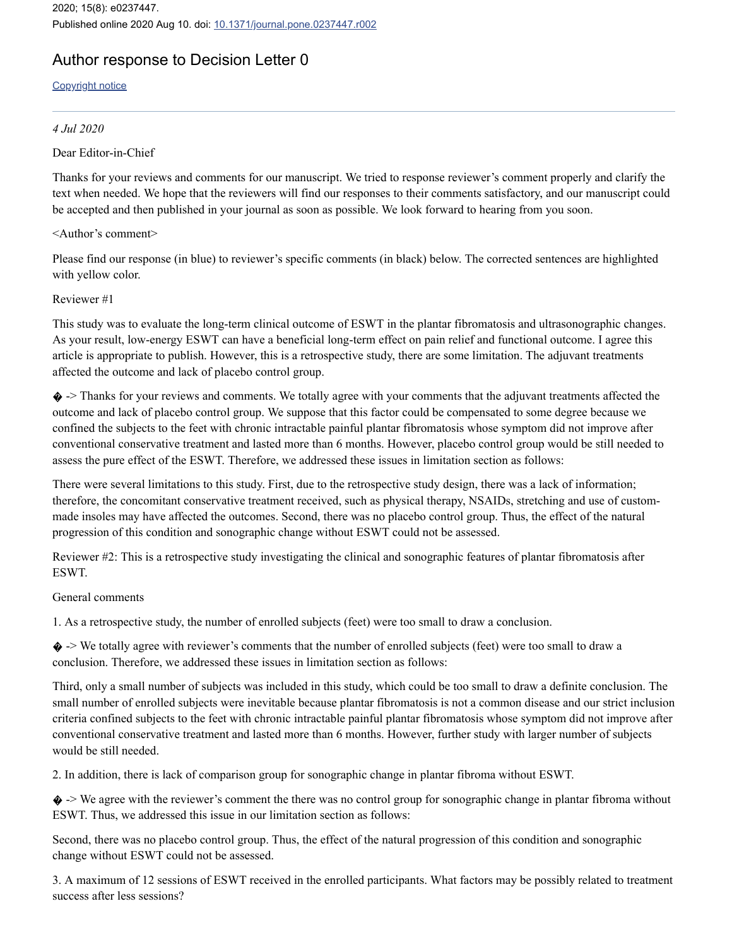2020; 15(8): e0237447. Published online 2020 Aug 10. doi: [10.1371/journal.pone.0237447.r002](https://dx.doi.org/10.1371%2Fjournal.pone.0237447.r002)

# Author response to Decision Letter 0

[Copyright](https://www.ncbi.nlm.nih.gov/pmc/about/copyright/) notice

#### *4 Jul 2020*

Dear Editor-in-Chief

Thanks for your reviews and comments for our manuscript. We tried to response reviewer's comment properly and clarify the text when needed. We hope that the reviewers will find our responses to their comments satisfactory, and our manuscript could be accepted and then published in your journal as soon as possible. We look forward to hearing from you soon.

#### <Author's comment>

Please find our response (in blue) to reviewer's specific comments (in black) below. The corrected sentences are highlighted with yellow color.

#### Reviewer #1

This study was to evaluate the long-term clinical outcome of ESWT in the plantar fibromatosis and ultrasonographic changes. As your result, low-energy ESWT can have a beneficial long-term effect on pain relief and functional outcome. I agree this article is appropriate to publish. However, this is a retrospective study, there are some limitation. The adjuvant treatments affected the outcome and lack of placebo control group.

� -> Thanks for your reviews and comments. We totally agree with your comments that the adjuvant treatments affected the outcome and lack of placebo control group. We suppose that this factor could be compensated to some degree because we confined the subjects to the feet with chronic intractable painful plantar fibromatosis whose symptom did not improve after conventional conservative treatment and lasted more than 6 months. However, placebo control group would be still needed to assess the pure effect of the ESWT. Therefore, we addressed these issues in limitation section as follows:

There were several limitations to this study. First, due to the retrospective study design, there was a lack of information; therefore, the concomitant conservative treatment received, such as physical therapy, NSAIDs, stretching and use of custommade insoles may have affected the outcomes. Second, there was no placebo control group. Thus, the effect of the natural progression of this condition and sonographic change without ESWT could not be assessed.

Reviewer #2: This is a retrospective study investigating the clinical and sonographic features of plantar fibromatosis after **ESWT.** 

#### General comments

1. As a retrospective study, the number of enrolled subjects (feet) were too small to draw a conclusion.

� -> We totally agree with reviewer's comments that the number of enrolled subjects (feet) were too small to draw a conclusion. Therefore, we addressed these issues in limitation section as follows:

Third, only a small number of subjects was included in this study, which could be too small to draw a definite conclusion. The small number of enrolled subjects were inevitable because plantar fibromatosis is not a common disease and our strict inclusion criteria confined subjects to the feet with chronic intractable painful plantar fibromatosis whose symptom did not improve after conventional conservative treatment and lasted more than 6 months. However, further study with larger number of subjects would be still needed.

2. In addition, there is lack of comparison group for sonographic change in plantar fibroma without ESWT.

� -> We agree with the reviewer's comment the there was no control group for sonographic change in plantar fibroma without ESWT. Thus, we addressed this issue in our limitation section as follows:

Second, there was no placebo control group. Thus, the effect of the natural progression of this condition and sonographic change without ESWT could not be assessed.

3. A maximum of 12 sessions of ESWT received in the enrolled participants. What factors may be possibly related to treatment success after less sessions?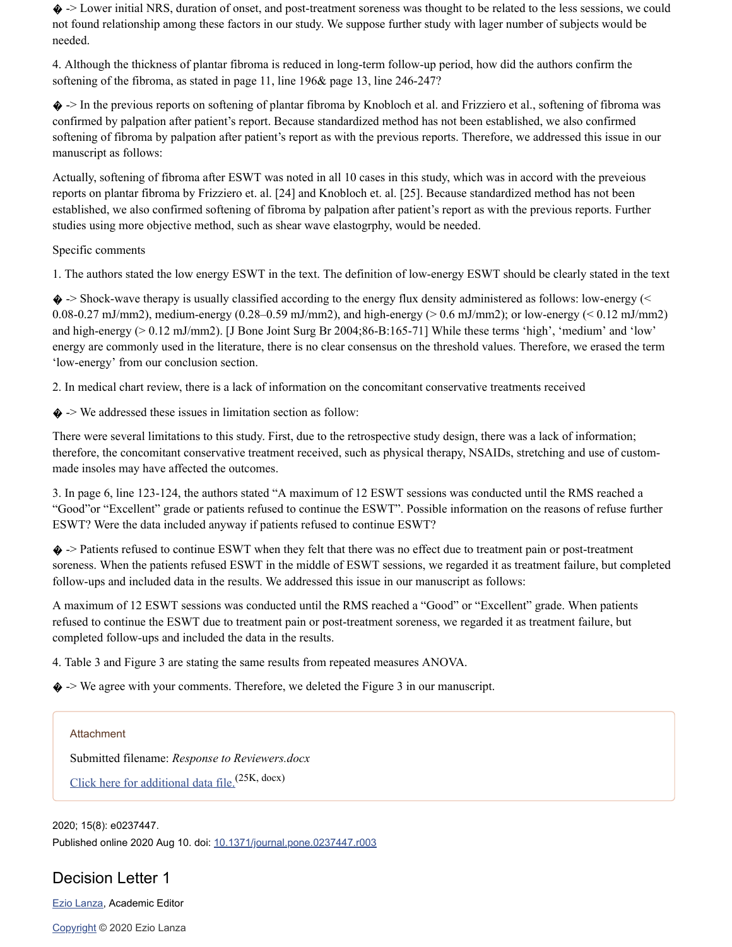� -> Lower initial NRS, duration of onset, and post-treatment soreness was thought to be related to the less sessions, we could not found relationship among these factors in our study. We suppose further study with lager number of subjects would be needed.

4. Although the thickness of plantar fibroma is reduced in long-term follow-up period, how did the authors confirm the softening of the fibroma, as stated in page 11, line 196& page 13, line 246-247?

� -> In the previous reports on softening of plantar fibroma by Knobloch et al. and Frizziero et al., softening of fibroma was confirmed by palpation after patient's report. Because standardized method has not been established, we also confirmed softening of fibroma by palpation after patient's report as with the previous reports. Therefore, we addressed this issue in our manuscript as follows:

Actually, softening of fibroma after ESWT was noted in all 10 cases in this study, which was in accord with the preveious reports on plantar fibroma by Frizziero et. al. [24] and Knobloch et. al. [25]. Because standardized method has not been established, we also confirmed softening of fibroma by palpation after patient's report as with the previous reports. Further studies using more objective method, such as shear wave elastogrphy, would be needed.

#### Specific comments

1. The authors stated the low energy ESWT in the text. The definition of low-energy ESWT should be clearly stated in the text

� -> Shock-wave therapy is usually classified according to the energy flux density administered as follows: low-energy (< 0.08-0.27 mJ/mm2), medium-energy (0.28–0.59 mJ/mm2), and high-energy ( $> 0.6$  mJ/mm2); or low-energy ( $< 0.12$  mJ/mm2) and high-energy (> 0.12 mJ/mm2). [J Bone Joint Surg Br 2004;86-B:165-71] While these terms 'high', 'medium' and 'low' energy are commonly used in the literature, there is no clear consensus on the threshold values. Therefore, we erased the term 'low-energy' from our conclusion section.

2. In medical chart review, there is a lack of information on the concomitant conservative treatments received

 $\diamond$  -> We addressed these issues in limitation section as follow:

There were several limitations to this study. First, due to the retrospective study design, there was a lack of information; therefore, the concomitant conservative treatment received, such as physical therapy, NSAIDs, stretching and use of custommade insoles may have affected the outcomes.

3. In page 6, line 123-124, the authors stated "A maximum of 12 ESWT sessions was conducted until the RMS reached a "Good"or "Excellent" grade or patients refused to continue the ESWT". Possible information on the reasons of refuse further ESWT? Were the data included anyway if patients refused to continue ESWT?

� -> Patients refused to continue ESWT when they felt that there was no effect due to treatment pain or post-treatment soreness. When the patients refused ESWT in the middle of ESWT sessions, we regarded it as treatment failure, but completed follow-ups and included data in the results. We addressed this issue in our manuscript as follows:

A maximum of 12 ESWT sessions was conducted until the RMS reached a "Good" or "Excellent" grade. When patients refused to continue the ESWT due to treatment pain or post-treatment soreness, we regarded it as treatment failure, but completed follow-ups and included the data in the results.

4. Table 3 and Figure 3 are stating the same results from repeated measures ANOVA.

� -> We agree with your comments. Therefore, we deleted the Figure 3 in our manuscript.

#### Attachment

Submitted filename: *Response to Reviewers.docx* Click here for [additional](https://www.ncbi.nlm.nih.gov/pmc/articles/PMC7416956/bin/pone.0237447.s003.docx) data file. (25K, docx)

2020; 15(8): e0237447. Published online 2020 Aug 10. doi: [10.1371/journal.pone.0237447.r003](https://dx.doi.org/10.1371%2Fjournal.pone.0237447.r003)

## Decision Letter 1

Ezio [Lanza](https://www.ncbi.nlm.nih.gov/pubmed/?term=Lanza%20E%5BAuthor%5D&cauthor=true&cauthor_uid=32776988), Academic Editor

[Copyright](https://www.ncbi.nlm.nih.gov/pmc/about/copyright/) © 2020 Ezio Lanza